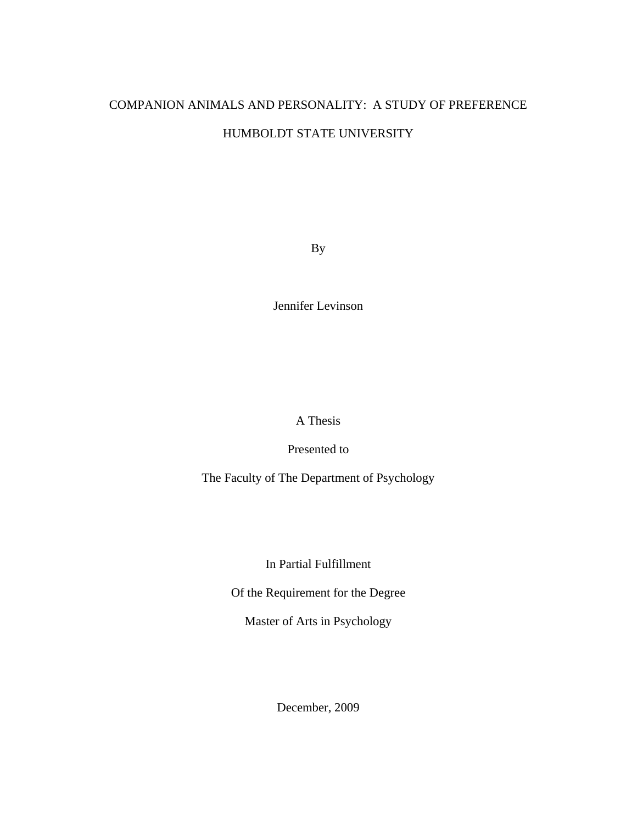# COMPANION ANIMALS AND PERSONALITY: A STUDY OF PREFERENCE HUMBOLDT STATE UNIVERSITY

By

Jennifer Levinson

A Thesis

Presented to

The Faculty of The Department of Psychology

In Partial Fulfillment

Of the Requirement for the Degree

Master of Arts in Psychology

December, 2009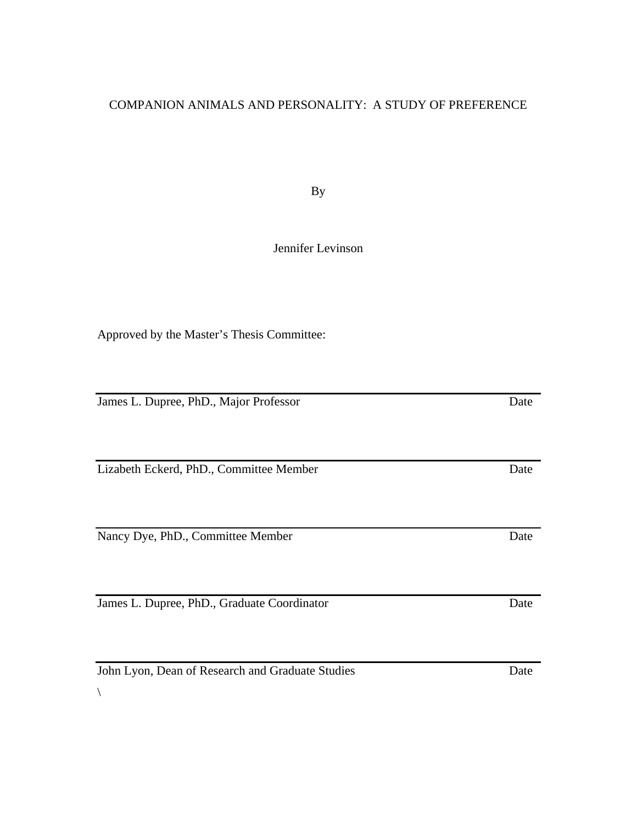# COMPANION ANIMALS AND PERSONALITY: A STUDY OF PREFERENCE

By

# Jennifer Levinson

Approved by the Master's Thesis Committee:

James L. Dupree, PhD., Major Professor Date

Lizabeth Eckerd, PhD., Committee Member Date

Nancy Dye, PhD., Committee Member Date Date

James L. Dupree, PhD., Graduate Coordinator Date

John Lyon, Dean of Research and Graduate Studies Date

 $\setminus$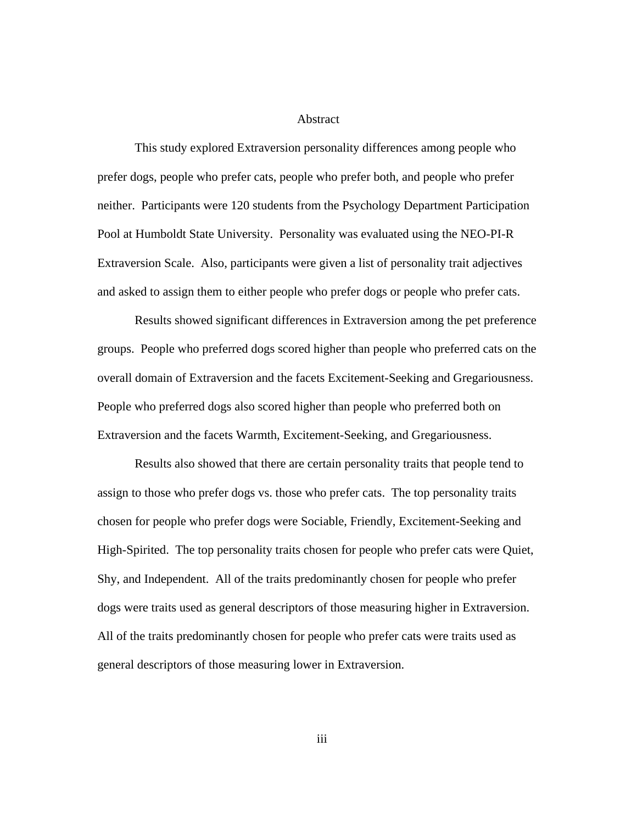#### Abstract

This study explored Extraversion personality differences among people who prefer dogs, people who prefer cats, people who prefer both, and people who prefer neither. Participants were 120 students from the Psychology Department Participation Pool at Humboldt State University. Personality was evaluated using the NEO-PI-R Extraversion Scale. Also, participants were given a list of personality trait adjectives and asked to assign them to either people who prefer dogs or people who prefer cats.

Results showed significant differences in Extraversion among the pet preference groups. People who preferred dogs scored higher than people who preferred cats on the overall domain of Extraversion and the facets Excitement-Seeking and Gregariousness. People who preferred dogs also scored higher than people who preferred both on Extraversion and the facets Warmth, Excitement-Seeking, and Gregariousness.

Results also showed that there are certain personality traits that people tend to assign to those who prefer dogs vs. those who prefer cats. The top personality traits chosen for people who prefer dogs were Sociable, Friendly, Excitement-Seeking and High-Spirited. The top personality traits chosen for people who prefer cats were Quiet, Shy, and Independent. All of the traits predominantly chosen for people who prefer dogs were traits used as general descriptors of those measuring higher in Extraversion. All of the traits predominantly chosen for people who prefer cats were traits used as general descriptors of those measuring lower in Extraversion.

iii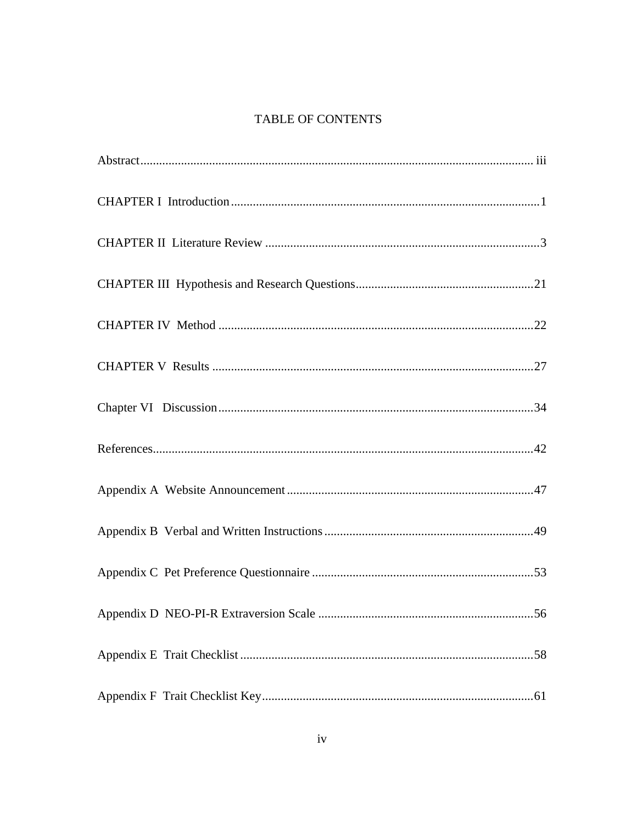# TABLE OF CONTENTS

| Appendix D NEO-PI-R Extraversion Scale<br>56 |  |
|----------------------------------------------|--|
|                                              |  |
|                                              |  |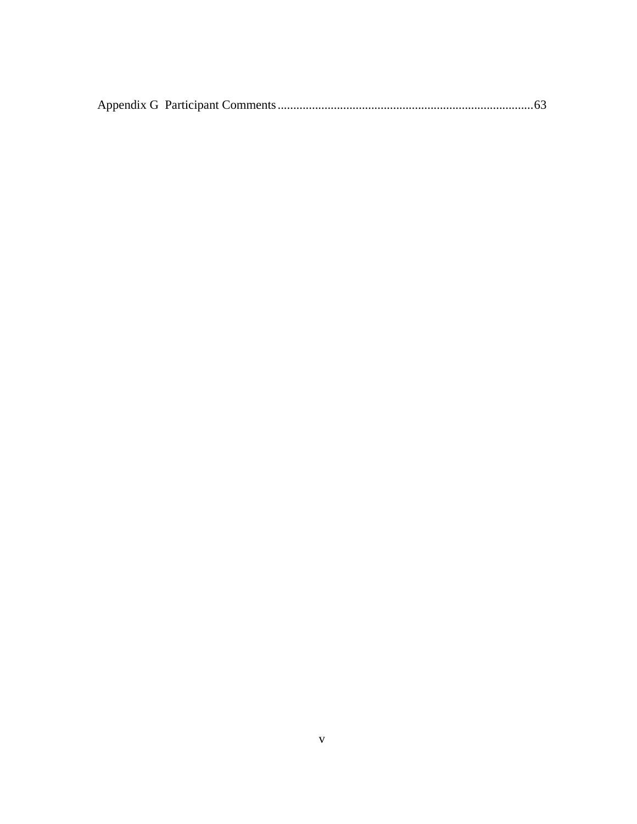|--|--|--|--|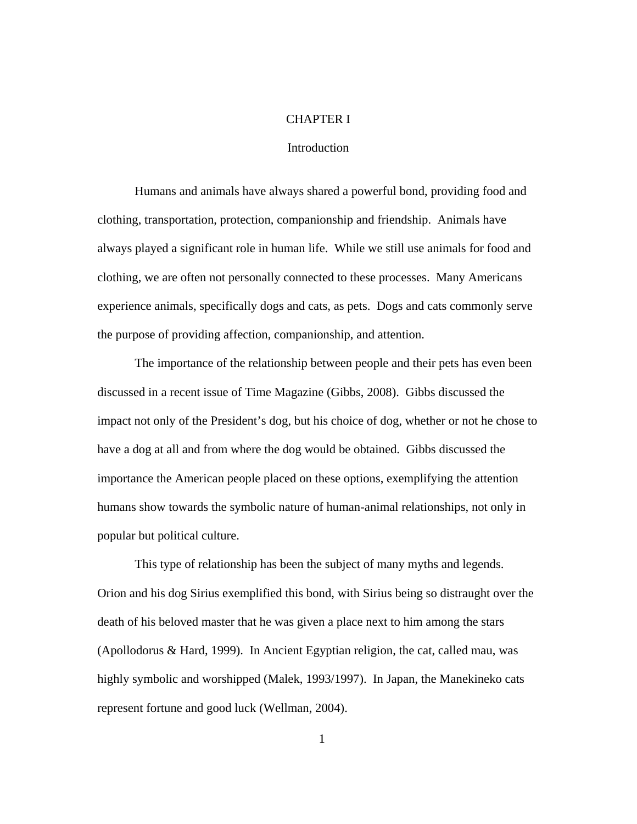#### CHAPTER I

### Introduction

Humans and animals have always shared a powerful bond, providing food and clothing, transportation, protection, companionship and friendship. Animals have always played a significant role in human life. While we still use animals for food and clothing, we are often not personally connected to these processes. Many Americans experience animals, specifically dogs and cats, as pets. Dogs and cats commonly serve the purpose of providing affection, companionship, and attention.

The importance of the relationship between people and their pets has even been discussed in a recent issue of Time Magazine (Gibbs, 2008). Gibbs discussed the impact not only of the President's dog, but his choice of dog, whether or not he chose to have a dog at all and from where the dog would be obtained. Gibbs discussed the importance the American people placed on these options, exemplifying the attention humans show towards the symbolic nature of human-animal relationships, not only in popular but political culture.

This type of relationship has been the subject of many myths and legends. Orion and his dog Sirius exemplified this bond, with Sirius being so distraught over the death of his beloved master that he was given a place next to him among the stars (Apollodorus & Hard, 1999). In Ancient Egyptian religion, the cat, called mau, was highly symbolic and worshipped (Malek, 1993/1997). In Japan, the Manekineko cats represent fortune and good luck (Wellman, 2004).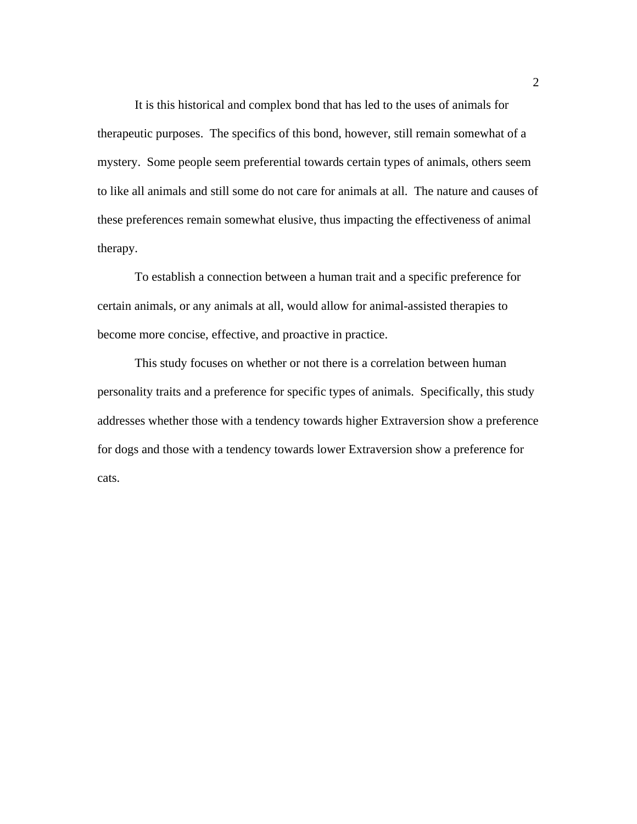It is this historical and complex bond that has led to the uses of animals for therapeutic purposes. The specifics of this bond, however, still remain somewhat of a mystery. Some people seem preferential towards certain types of animals, others seem to like all animals and still some do not care for animals at all. The nature and causes of these preferences remain somewhat elusive, thus impacting the effectiveness of animal therapy.

To establish a connection between a human trait and a specific preference for certain animals, or any animals at all, would allow for animal-assisted therapies to become more concise, effective, and proactive in practice.

This study focuses on whether or not there is a correlation between human personality traits and a preference for specific types of animals. Specifically, this study addresses whether those with a tendency towards higher Extraversion show a preference for dogs and those with a tendency towards lower Extraversion show a preference for cats.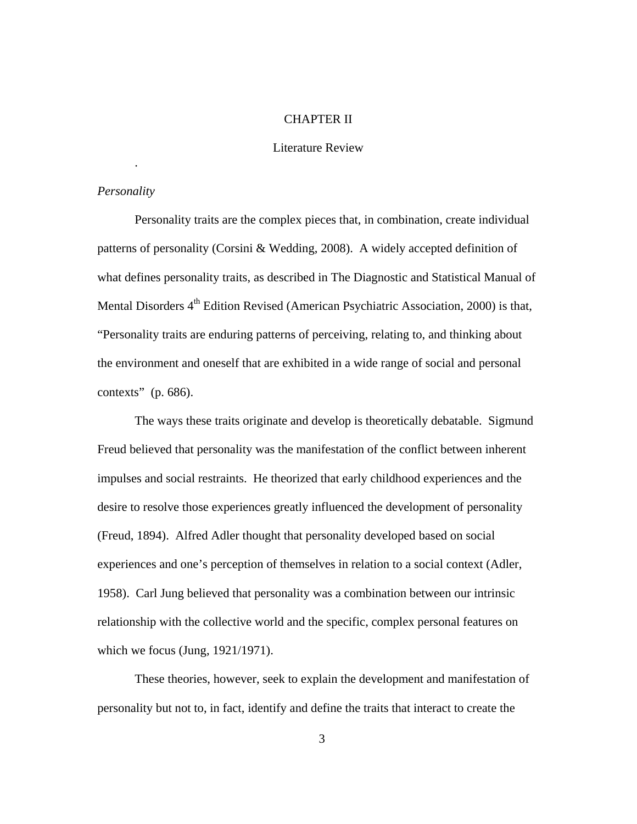### CHAPTER II

### Literature Review

### *Personality*

.

Personality traits are the complex pieces that, in combination, create individual patterns of personality (Corsini & Wedding, 2008). A widely accepted definition of what defines personality traits, as described in The Diagnostic and Statistical Manual of Mental Disorders 4<sup>th</sup> Edition Revised (American Psychiatric Association, 2000) is that, "Personality traits are enduring patterns of perceiving, relating to, and thinking about the environment and oneself that are exhibited in a wide range of social and personal contexts" (p. 686).

The ways these traits originate and develop is theoretically debatable. Sigmund Freud believed that personality was the manifestation of the conflict between inherent impulses and social restraints. He theorized that early childhood experiences and the desire to resolve those experiences greatly influenced the development of personality (Freud, 1894). Alfred Adler thought that personality developed based on social experiences and one's perception of themselves in relation to a social context (Adler, 1958). Carl Jung believed that personality was a combination between our intrinsic relationship with the collective world and the specific, complex personal features on which we focus (Jung, 1921/1971).

 These theories, however, seek to explain the development and manifestation of personality but not to, in fact, identify and define the traits that interact to create the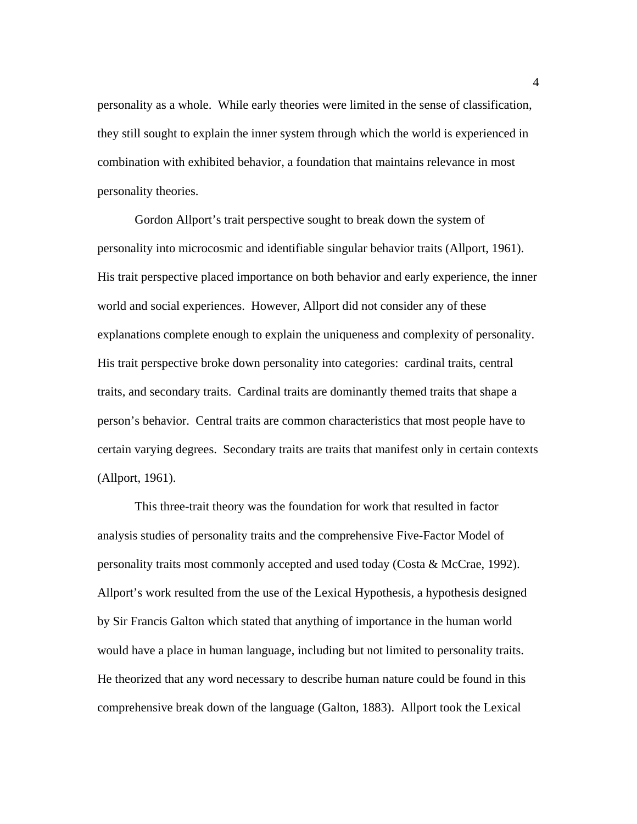personality as a whole. While early theories were limited in the sense of classification, they still sought to explain the inner system through which the world is experienced in combination with exhibited behavior, a foundation that maintains relevance in most personality theories.

Gordon Allport's trait perspective sought to break down the system of personality into microcosmic and identifiable singular behavior traits (Allport, 1961). His trait perspective placed importance on both behavior and early experience, the inner world and social experiences. However, Allport did not consider any of these explanations complete enough to explain the uniqueness and complexity of personality. His trait perspective broke down personality into categories: cardinal traits, central traits, and secondary traits. Cardinal traits are dominantly themed traits that shape a person's behavior. Central traits are common characteristics that most people have to certain varying degrees. Secondary traits are traits that manifest only in certain contexts (Allport, 1961).

This three-trait theory was the foundation for work that resulted in factor analysis studies of personality traits and the comprehensive Five-Factor Model of personality traits most commonly accepted and used today (Costa & McCrae, 1992). Allport's work resulted from the use of the Lexical Hypothesis, a hypothesis designed by Sir Francis Galton which stated that anything of importance in the human world would have a place in human language, including but not limited to personality traits. He theorized that any word necessary to describe human nature could be found in this comprehensive break down of the language (Galton, 1883). Allport took the Lexical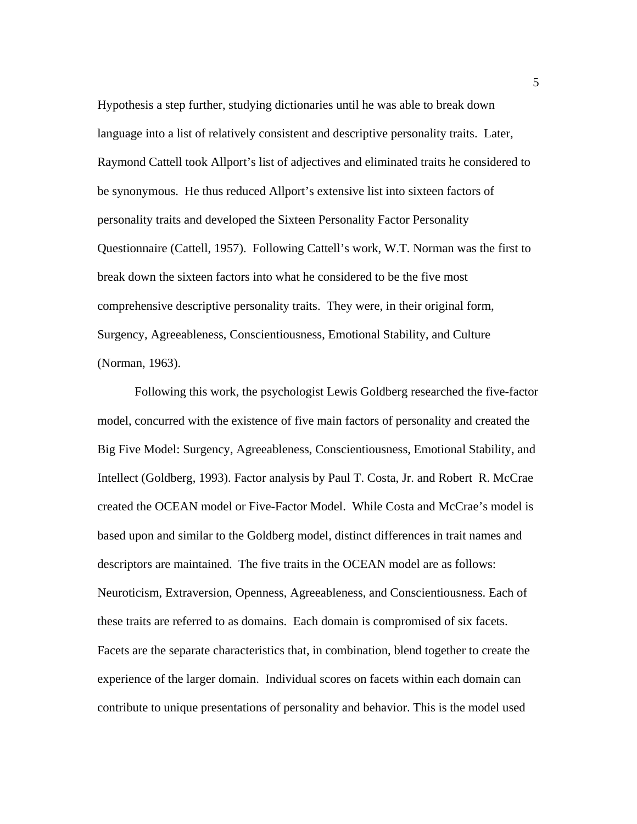Hypothesis a step further, studying dictionaries until he was able to break down language into a list of relatively consistent and descriptive personality traits. Later, Raymond Cattell took Allport's list of adjectives and eliminated traits he considered to be synonymous. He thus reduced Allport's extensive list into sixteen factors of personality traits and developed the Sixteen Personality Factor Personality Questionnaire (Cattell, 1957). Following Cattell's work, W.T. Norman was the first to break down the sixteen factors into what he considered to be the five most comprehensive descriptive personality traits. They were, in their original form, Surgency, Agreeableness, Conscientiousness, Emotional Stability, and Culture (Norman, 1963).

Following this work, the psychologist Lewis Goldberg researched the five-factor model, concurred with the existence of five main factors of personality and created the Big Five Model: Surgency, Agreeableness, Conscientiousness, Emotional Stability, and Intellect (Goldberg, 1993). Factor analysis by Paul T. Costa, Jr. and Robert R. McCrae created the OCEAN model or Five-Factor Model. While Costa and McCrae's model is based upon and similar to the Goldberg model, distinct differences in trait names and descriptors are maintained. The five traits in the OCEAN model are as follows: Neuroticism, Extraversion, Openness, Agreeableness, and Conscientiousness. Each of these traits are referred to as domains. Each domain is compromised of six facets. Facets are the separate characteristics that, in combination, blend together to create the experience of the larger domain. Individual scores on facets within each domain can contribute to unique presentations of personality and behavior. This is the model used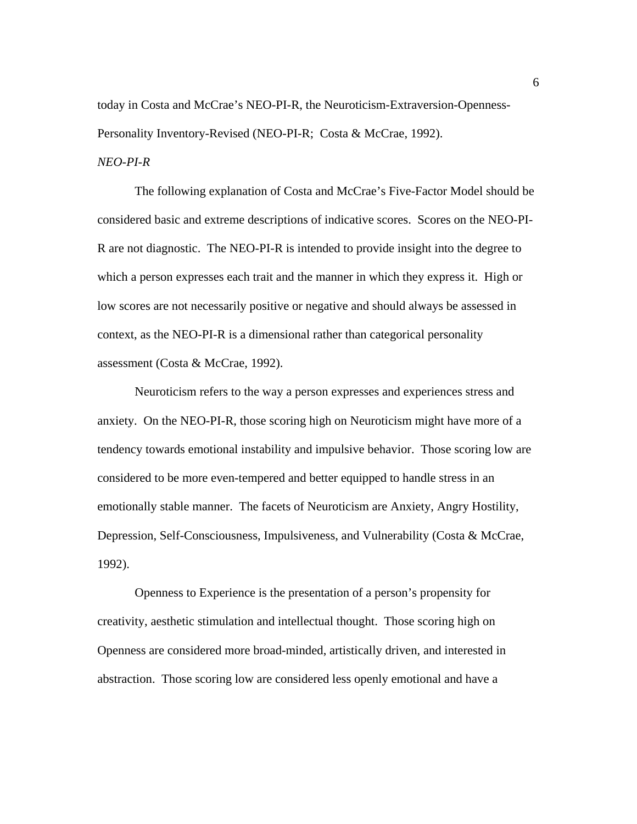today in Costa and McCrae's NEO-PI-R, the Neuroticism-Extraversion-Openness-Personality Inventory-Revised (NEO-PI-R; Costa & McCrae, 1992).

## *NEO-PI-R*

The following explanation of Costa and McCrae's Five-Factor Model should be considered basic and extreme descriptions of indicative scores. Scores on the NEO-PI-R are not diagnostic. The NEO-PI-R is intended to provide insight into the degree to which a person expresses each trait and the manner in which they express it. High or low scores are not necessarily positive or negative and should always be assessed in context, as the NEO-PI-R is a dimensional rather than categorical personality assessment (Costa & McCrae, 1992).

Neuroticism refers to the way a person expresses and experiences stress and anxiety. On the NEO-PI-R, those scoring high on Neuroticism might have more of a tendency towards emotional instability and impulsive behavior. Those scoring low are considered to be more even-tempered and better equipped to handle stress in an emotionally stable manner. The facets of Neuroticism are Anxiety, Angry Hostility, Depression, Self-Consciousness, Impulsiveness, and Vulnerability (Costa & McCrae, 1992).

Openness to Experience is the presentation of a person's propensity for creativity, aesthetic stimulation and intellectual thought. Those scoring high on Openness are considered more broad-minded, artistically driven, and interested in abstraction. Those scoring low are considered less openly emotional and have a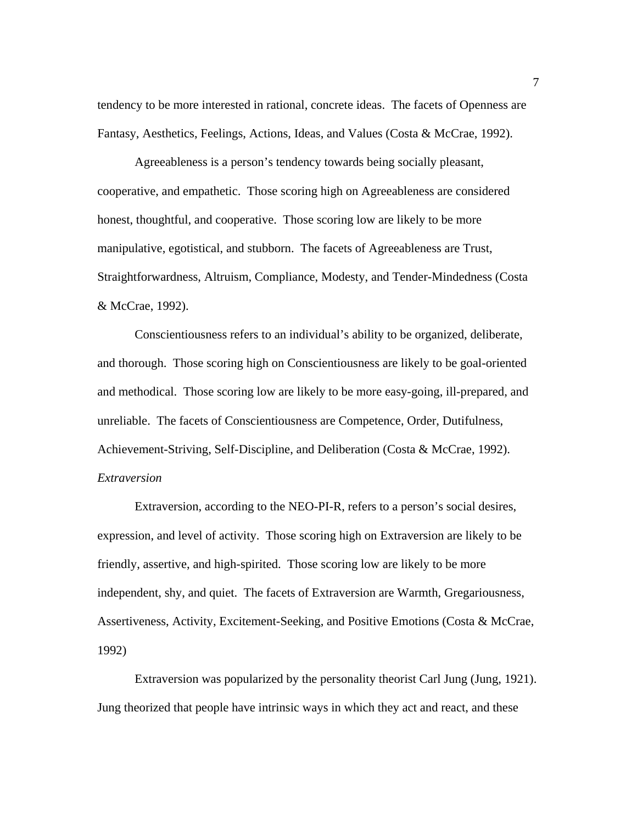tendency to be more interested in rational, concrete ideas. The facets of Openness are Fantasy, Aesthetics, Feelings, Actions, Ideas, and Values (Costa & McCrae, 1992).

Agreeableness is a person's tendency towards being socially pleasant, cooperative, and empathetic. Those scoring high on Agreeableness are considered honest, thoughtful, and cooperative. Those scoring low are likely to be more manipulative, egotistical, and stubborn. The facets of Agreeableness are Trust, Straightforwardness, Altruism, Compliance, Modesty, and Tender-Mindedness (Costa & McCrae, 1992).

Conscientiousness refers to an individual's ability to be organized, deliberate, and thorough. Those scoring high on Conscientiousness are likely to be goal-oriented and methodical. Those scoring low are likely to be more easy-going, ill-prepared, and unreliable. The facets of Conscientiousness are Competence, Order, Dutifulness, Achievement-Striving, Self-Discipline, and Deliberation (Costa & McCrae, 1992). *Extraversion* 

Extraversion, according to the NEO-PI-R, refers to a person's social desires, expression, and level of activity. Those scoring high on Extraversion are likely to be friendly, assertive, and high-spirited. Those scoring low are likely to be more independent, shy, and quiet. The facets of Extraversion are Warmth, Gregariousness, Assertiveness, Activity, Excitement-Seeking, and Positive Emotions (Costa & McCrae, 1992)

Extraversion was popularized by the personality theorist Carl Jung (Jung, 1921). Jung theorized that people have intrinsic ways in which they act and react, and these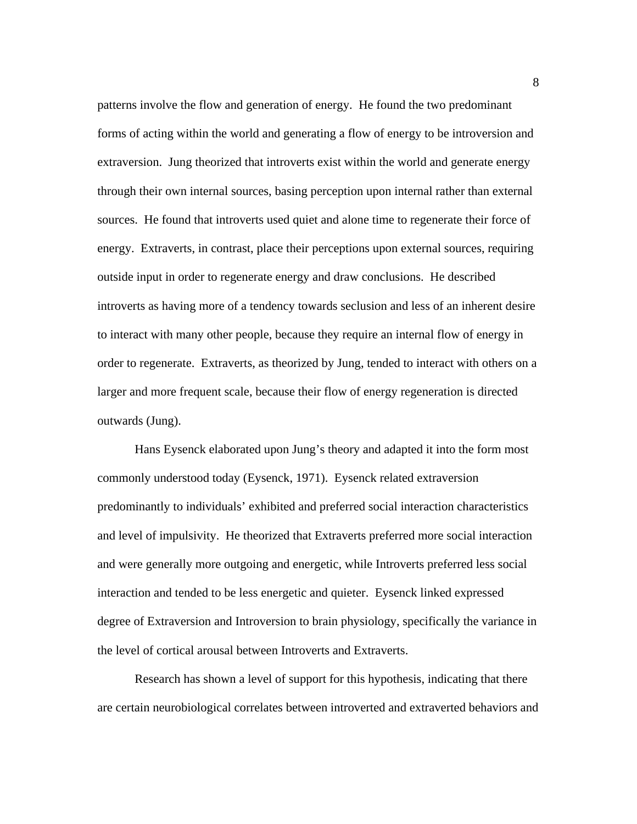patterns involve the flow and generation of energy. He found the two predominant forms of acting within the world and generating a flow of energy to be introversion and extraversion. Jung theorized that introverts exist within the world and generate energy through their own internal sources, basing perception upon internal rather than external sources. He found that introverts used quiet and alone time to regenerate their force of energy. Extraverts, in contrast, place their perceptions upon external sources, requiring outside input in order to regenerate energy and draw conclusions. He described introverts as having more of a tendency towards seclusion and less of an inherent desire to interact with many other people, because they require an internal flow of energy in order to regenerate. Extraverts, as theorized by Jung, tended to interact with others on a larger and more frequent scale, because their flow of energy regeneration is directed outwards (Jung).

Hans Eysenck elaborated upon Jung's theory and adapted it into the form most commonly understood today (Eysenck, 1971). Eysenck related extraversion predominantly to individuals' exhibited and preferred social interaction characteristics and level of impulsivity. He theorized that Extraverts preferred more social interaction and were generally more outgoing and energetic, while Introverts preferred less social interaction and tended to be less energetic and quieter. Eysenck linked expressed degree of Extraversion and Introversion to brain physiology, specifically the variance in the level of cortical arousal between Introverts and Extraverts.

Research has shown a level of support for this hypothesis, indicating that there are certain neurobiological correlates between introverted and extraverted behaviors and

8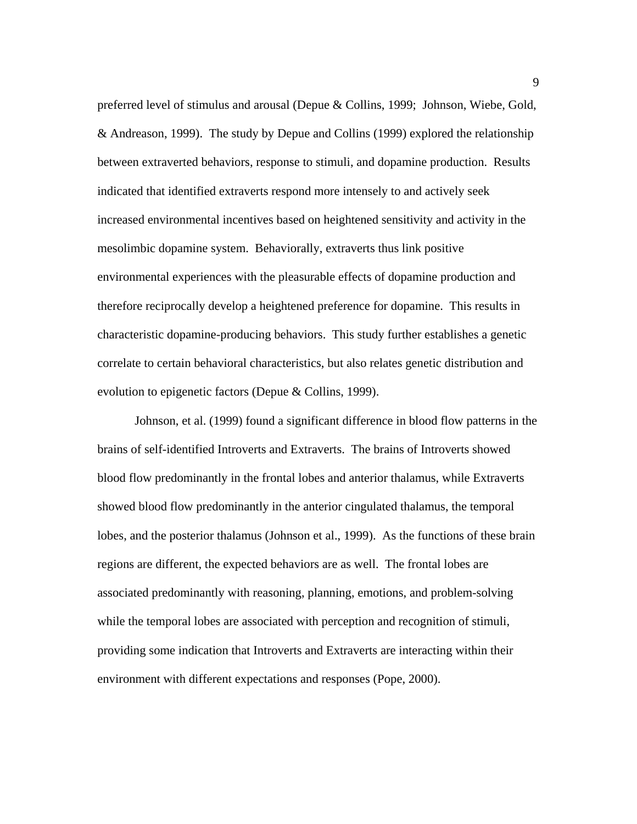preferred level of stimulus and arousal (Depue & Collins, 1999; Johnson, Wiebe, Gold, & Andreason, 1999). The study by Depue and Collins (1999) explored the relationship between extraverted behaviors, response to stimuli, and dopamine production. Results indicated that identified extraverts respond more intensely to and actively seek increased environmental incentives based on heightened sensitivity and activity in the mesolimbic dopamine system. Behaviorally, extraverts thus link positive environmental experiences with the pleasurable effects of dopamine production and therefore reciprocally develop a heightened preference for dopamine. This results in characteristic dopamine-producing behaviors. This study further establishes a genetic correlate to certain behavioral characteristics, but also relates genetic distribution and evolution to epigenetic factors (Depue & Collins, 1999).

Johnson, et al. (1999) found a significant difference in blood flow patterns in the brains of self-identified Introverts and Extraverts. The brains of Introverts showed blood flow predominantly in the frontal lobes and anterior thalamus, while Extraverts showed blood flow predominantly in the anterior cingulated thalamus, the temporal lobes, and the posterior thalamus (Johnson et al., 1999). As the functions of these brain regions are different, the expected behaviors are as well. The frontal lobes are associated predominantly with reasoning, planning, emotions, and problem-solving while the temporal lobes are associated with perception and recognition of stimuli, providing some indication that Introverts and Extraverts are interacting within their environment with different expectations and responses (Pope, 2000).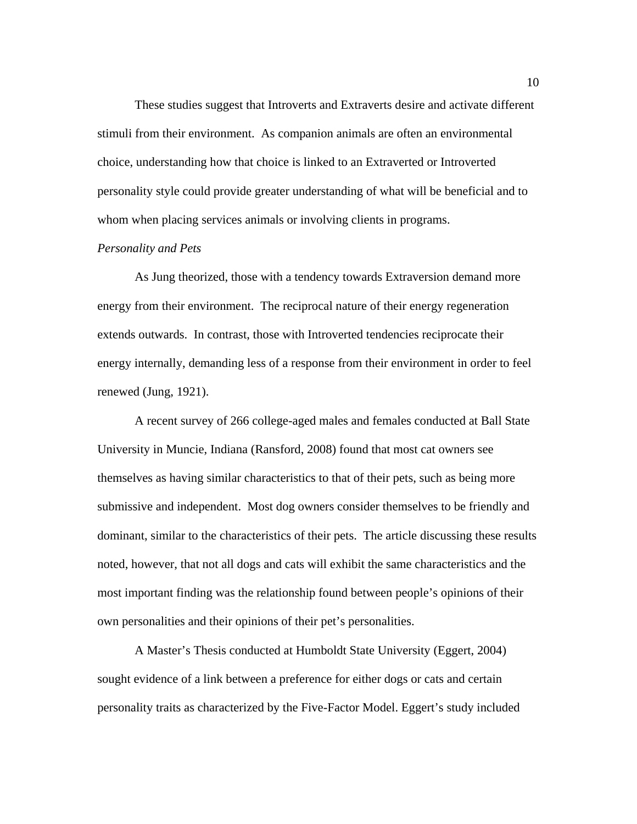These studies suggest that Introverts and Extraverts desire and activate different stimuli from their environment. As companion animals are often an environmental choice, understanding how that choice is linked to an Extraverted or Introverted personality style could provide greater understanding of what will be beneficial and to whom when placing services animals or involving clients in programs.

#### *Personality and Pets*

As Jung theorized, those with a tendency towards Extraversion demand more energy from their environment. The reciprocal nature of their energy regeneration extends outwards. In contrast, those with Introverted tendencies reciprocate their energy internally, demanding less of a response from their environment in order to feel renewed (Jung, 1921).

A recent survey of 266 college-aged males and females conducted at Ball State University in Muncie, Indiana (Ransford, 2008) found that most cat owners see themselves as having similar characteristics to that of their pets, such as being more submissive and independent. Most dog owners consider themselves to be friendly and dominant, similar to the characteristics of their pets. The article discussing these results noted, however, that not all dogs and cats will exhibit the same characteristics and the most important finding was the relationship found between people's opinions of their own personalities and their opinions of their pet's personalities.

A Master's Thesis conducted at Humboldt State University (Eggert, 2004) sought evidence of a link between a preference for either dogs or cats and certain personality traits as characterized by the Five-Factor Model. Eggert's study included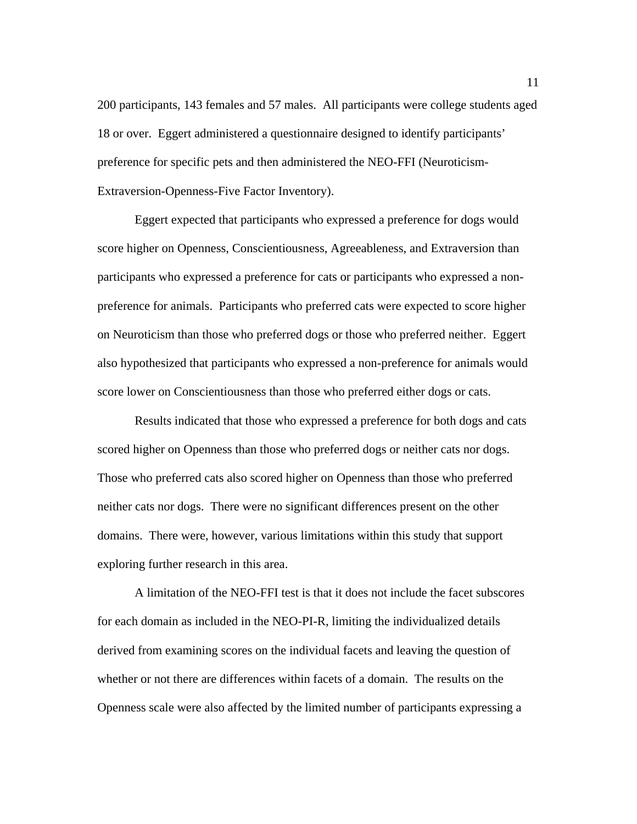200 participants, 143 females and 57 males. All participants were college students aged 18 or over. Eggert administered a questionnaire designed to identify participants' preference for specific pets and then administered the NEO-FFI (Neuroticism-Extraversion-Openness-Five Factor Inventory).

Eggert expected that participants who expressed a preference for dogs would score higher on Openness, Conscientiousness, Agreeableness, and Extraversion than participants who expressed a preference for cats or participants who expressed a nonpreference for animals. Participants who preferred cats were expected to score higher on Neuroticism than those who preferred dogs or those who preferred neither. Eggert also hypothesized that participants who expressed a non-preference for animals would score lower on Conscientiousness than those who preferred either dogs or cats.

Results indicated that those who expressed a preference for both dogs and cats scored higher on Openness than those who preferred dogs or neither cats nor dogs. Those who preferred cats also scored higher on Openness than those who preferred neither cats nor dogs. There were no significant differences present on the other domains. There were, however, various limitations within this study that support exploring further research in this area.

A limitation of the NEO-FFI test is that it does not include the facet subscores for each domain as included in the NEO-PI-R, limiting the individualized details derived from examining scores on the individual facets and leaving the question of whether or not there are differences within facets of a domain. The results on the Openness scale were also affected by the limited number of participants expressing a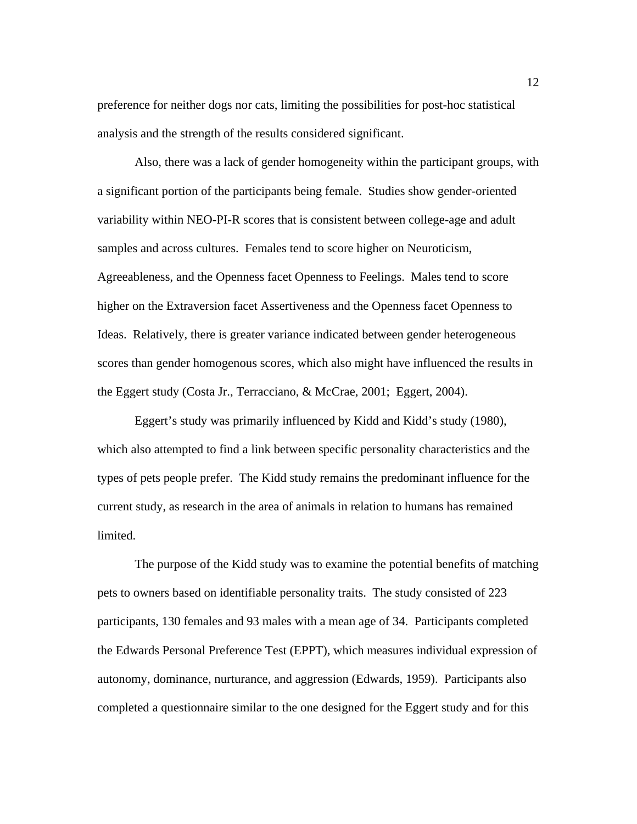preference for neither dogs nor cats, limiting the possibilities for post-hoc statistical analysis and the strength of the results considered significant.

Also, there was a lack of gender homogeneity within the participant groups, with a significant portion of the participants being female. Studies show gender-oriented variability within NEO-PI-R scores that is consistent between college-age and adult samples and across cultures. Females tend to score higher on Neuroticism, Agreeableness, and the Openness facet Openness to Feelings. Males tend to score higher on the Extraversion facet Assertiveness and the Openness facet Openness to Ideas. Relatively, there is greater variance indicated between gender heterogeneous scores than gender homogenous scores, which also might have influenced the results in the Eggert study (Costa Jr., Terracciano, & McCrae, 2001; Eggert, 2004).

Eggert's study was primarily influenced by Kidd and Kidd's study (1980), which also attempted to find a link between specific personality characteristics and the types of pets people prefer. The Kidd study remains the predominant influence for the current study, as research in the area of animals in relation to humans has remained limited.

The purpose of the Kidd study was to examine the potential benefits of matching pets to owners based on identifiable personality traits. The study consisted of 223 participants, 130 females and 93 males with a mean age of 34. Participants completed the Edwards Personal Preference Test (EPPT), which measures individual expression of autonomy, dominance, nurturance, and aggression (Edwards, 1959). Participants also completed a questionnaire similar to the one designed for the Eggert study and for this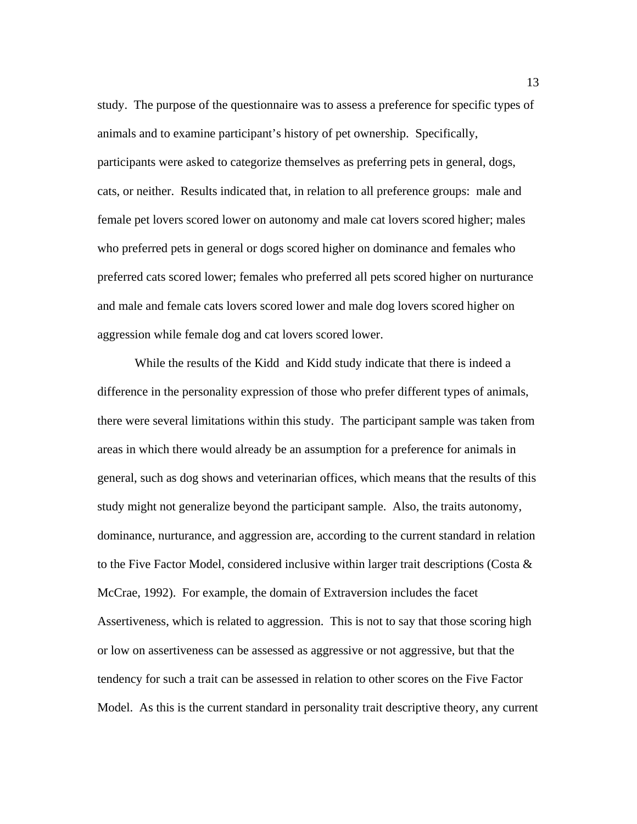study. The purpose of the questionnaire was to assess a preference for specific types of animals and to examine participant's history of pet ownership. Specifically, participants were asked to categorize themselves as preferring pets in general, dogs, cats, or neither. Results indicated that, in relation to all preference groups: male and female pet lovers scored lower on autonomy and male cat lovers scored higher; males who preferred pets in general or dogs scored higher on dominance and females who preferred cats scored lower; females who preferred all pets scored higher on nurturance and male and female cats lovers scored lower and male dog lovers scored higher on aggression while female dog and cat lovers scored lower.

While the results of the Kidd and Kidd study indicate that there is indeed a difference in the personality expression of those who prefer different types of animals, there were several limitations within this study. The participant sample was taken from areas in which there would already be an assumption for a preference for animals in general, such as dog shows and veterinarian offices, which means that the results of this study might not generalize beyond the participant sample. Also, the traits autonomy, dominance, nurturance, and aggression are, according to the current standard in relation to the Five Factor Model, considered inclusive within larger trait descriptions (Costa  $\&$ McCrae, 1992). For example, the domain of Extraversion includes the facet Assertiveness, which is related to aggression. This is not to say that those scoring high or low on assertiveness can be assessed as aggressive or not aggressive, but that the tendency for such a trait can be assessed in relation to other scores on the Five Factor Model. As this is the current standard in personality trait descriptive theory, any current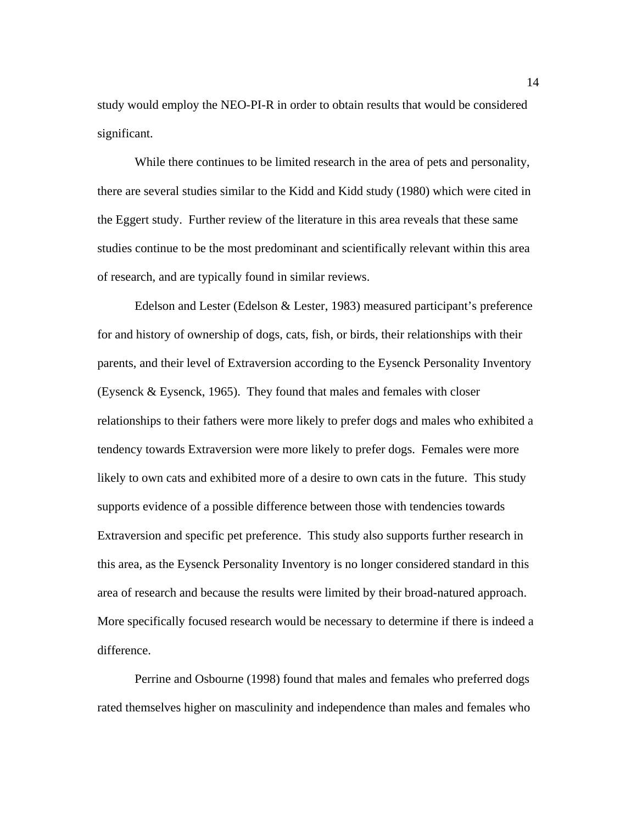study would employ the NEO-PI-R in order to obtain results that would be considered significant.

While there continues to be limited research in the area of pets and personality, there are several studies similar to the Kidd and Kidd study (1980) which were cited in the Eggert study. Further review of the literature in this area reveals that these same studies continue to be the most predominant and scientifically relevant within this area of research, and are typically found in similar reviews.

Edelson and Lester (Edelson & Lester, 1983) measured participant's preference for and history of ownership of dogs, cats, fish, or birds, their relationships with their parents, and their level of Extraversion according to the Eysenck Personality Inventory (Eysenck & Eysenck, 1965). They found that males and females with closer relationships to their fathers were more likely to prefer dogs and males who exhibited a tendency towards Extraversion were more likely to prefer dogs. Females were more likely to own cats and exhibited more of a desire to own cats in the future. This study supports evidence of a possible difference between those with tendencies towards Extraversion and specific pet preference. This study also supports further research in this area, as the Eysenck Personality Inventory is no longer considered standard in this area of research and because the results were limited by their broad-natured approach. More specifically focused research would be necessary to determine if there is indeed a difference.

Perrine and Osbourne (1998) found that males and females who preferred dogs rated themselves higher on masculinity and independence than males and females who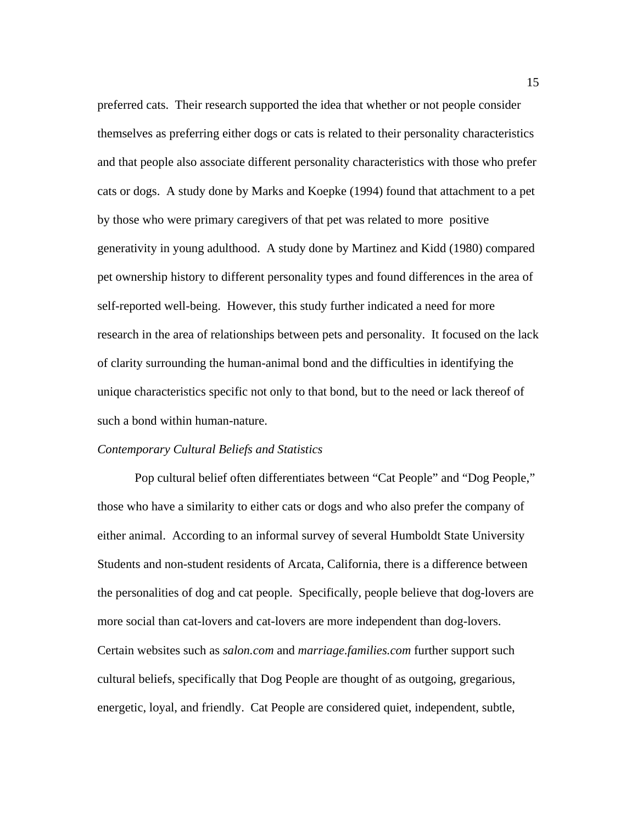preferred cats. Their research supported the idea that whether or not people consider themselves as preferring either dogs or cats is related to their personality characteristics and that people also associate different personality characteristics with those who prefer cats or dogs. A study done by Marks and Koepke (1994) found that attachment to a pet by those who were primary caregivers of that pet was related to more positive generativity in young adulthood. A study done by Martinez and Kidd (1980) compared pet ownership history to different personality types and found differences in the area of self-reported well-being. However, this study further indicated a need for more research in the area of relationships between pets and personality. It focused on the lack of clarity surrounding the human-animal bond and the difficulties in identifying the unique characteristics specific not only to that bond, but to the need or lack thereof of such a bond within human-nature.

#### *Contemporary Cultural Beliefs and Statistics*

Pop cultural belief often differentiates between "Cat People" and "Dog People," those who have a similarity to either cats or dogs and who also prefer the company of either animal. According to an informal survey of several Humboldt State University Students and non-student residents of Arcata, California, there is a difference between the personalities of dog and cat people. Specifically, people believe that dog-lovers are more social than cat-lovers and cat-lovers are more independent than dog-lovers. Certain websites such as *salon.com* and *marriage.families.com* further support such cultural beliefs, specifically that Dog People are thought of as outgoing, gregarious, energetic, loyal, and friendly. Cat People are considered quiet, independent, subtle,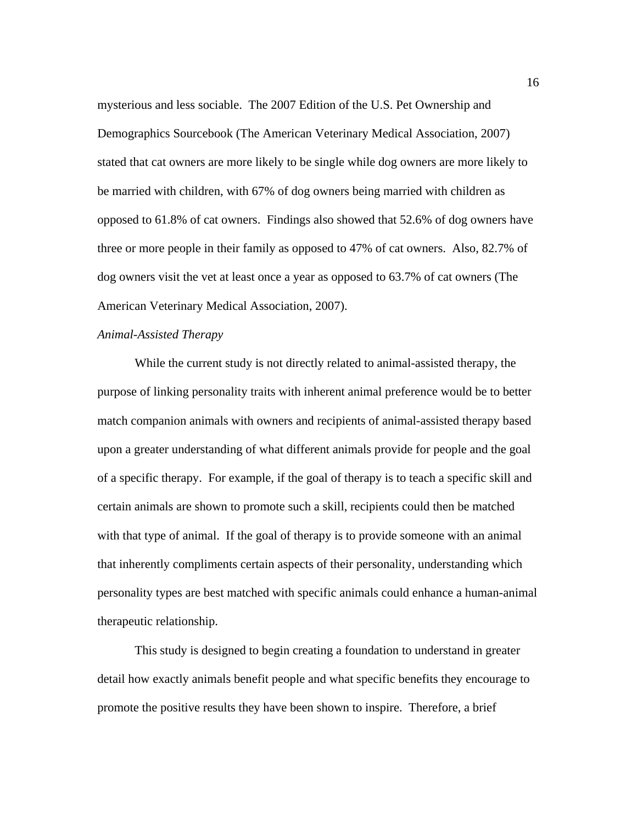mysterious and less sociable. The 2007 Edition of the U.S. Pet Ownership and Demographics Sourcebook (The American Veterinary Medical Association, 2007) stated that cat owners are more likely to be single while dog owners are more likely to be married with children, with 67% of dog owners being married with children as opposed to 61.8% of cat owners. Findings also showed that 52.6% of dog owners have three or more people in their family as opposed to 47% of cat owners. Also, 82.7% of dog owners visit the vet at least once a year as opposed to 63.7% of cat owners (The American Veterinary Medical Association, 2007).

### *Animal-Assisted Therapy*

While the current study is not directly related to animal-assisted therapy, the purpose of linking personality traits with inherent animal preference would be to better match companion animals with owners and recipients of animal-assisted therapy based upon a greater understanding of what different animals provide for people and the goal of a specific therapy. For example, if the goal of therapy is to teach a specific skill and certain animals are shown to promote such a skill, recipients could then be matched with that type of animal. If the goal of therapy is to provide someone with an animal that inherently compliments certain aspects of their personality, understanding which personality types are best matched with specific animals could enhance a human-animal therapeutic relationship.

This study is designed to begin creating a foundation to understand in greater detail how exactly animals benefit people and what specific benefits they encourage to promote the positive results they have been shown to inspire. Therefore, a brief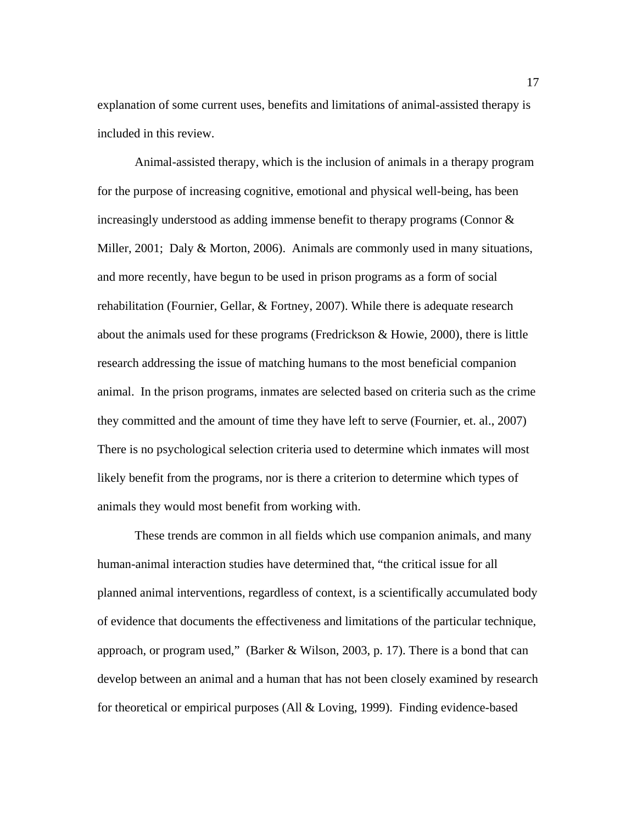explanation of some current uses, benefits and limitations of animal-assisted therapy is included in this review.

Animal-assisted therapy, which is the inclusion of animals in a therapy program for the purpose of increasing cognitive, emotional and physical well-being, has been increasingly understood as adding immense benefit to therapy programs (Connor  $\&$ Miller, 2001; Daly & Morton, 2006). Animals are commonly used in many situations, and more recently, have begun to be used in prison programs as a form of social rehabilitation (Fournier, Gellar, & Fortney, 2007). While there is adequate research about the animals used for these programs (Fredrickson & Howie, 2000), there is little research addressing the issue of matching humans to the most beneficial companion animal. In the prison programs, inmates are selected based on criteria such as the crime they committed and the amount of time they have left to serve (Fournier, et. al., 2007) There is no psychological selection criteria used to determine which inmates will most likely benefit from the programs, nor is there a criterion to determine which types of animals they would most benefit from working with.

These trends are common in all fields which use companion animals, and many human-animal interaction studies have determined that, "the critical issue for all planned animal interventions, regardless of context, is a scientifically accumulated body of evidence that documents the effectiveness and limitations of the particular technique, approach, or program used," (Barker & Wilson, 2003, p. 17). There is a bond that can develop between an animal and a human that has not been closely examined by research for theoretical or empirical purposes (All & Loving, 1999). Finding evidence-based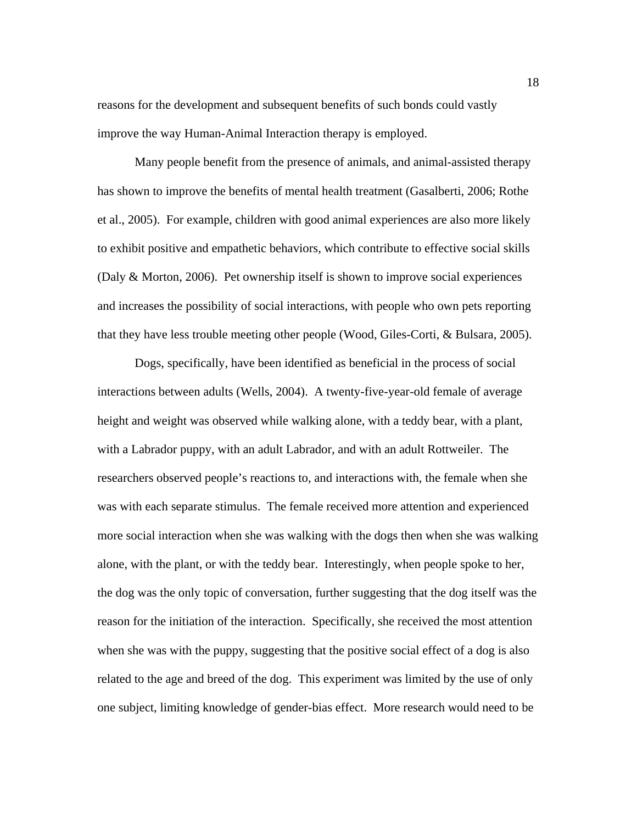reasons for the development and subsequent benefits of such bonds could vastly improve the way Human-Animal Interaction therapy is employed.

Many people benefit from the presence of animals, and animal-assisted therapy has shown to improve the benefits of mental health treatment (Gasalberti, 2006; Rothe et al., 2005). For example, children with good animal experiences are also more likely to exhibit positive and empathetic behaviors, which contribute to effective social skills (Daly & Morton, 2006). Pet ownership itself is shown to improve social experiences and increases the possibility of social interactions, with people who own pets reporting that they have less trouble meeting other people (Wood, Giles-Corti, & Bulsara, 2005).

Dogs, specifically, have been identified as beneficial in the process of social interactions between adults (Wells, 2004). A twenty-five-year-old female of average height and weight was observed while walking alone, with a teddy bear, with a plant, with a Labrador puppy, with an adult Labrador, and with an adult Rottweiler. The researchers observed people's reactions to, and interactions with, the female when she was with each separate stimulus. The female received more attention and experienced more social interaction when she was walking with the dogs then when she was walking alone, with the plant, or with the teddy bear. Interestingly, when people spoke to her, the dog was the only topic of conversation, further suggesting that the dog itself was the reason for the initiation of the interaction. Specifically, she received the most attention when she was with the puppy, suggesting that the positive social effect of a dog is also related to the age and breed of the dog. This experiment was limited by the use of only one subject, limiting knowledge of gender-bias effect. More research would need to be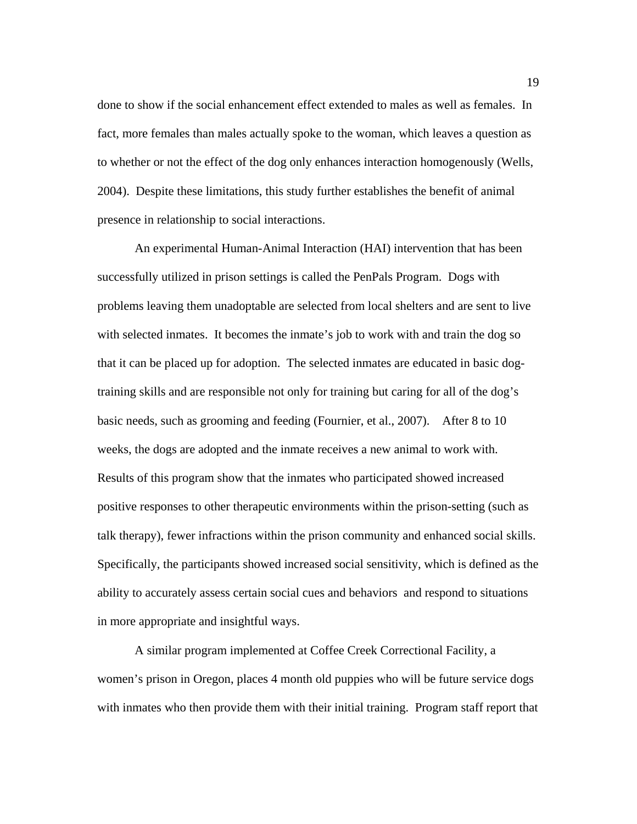done to show if the social enhancement effect extended to males as well as females. In fact, more females than males actually spoke to the woman, which leaves a question as to whether or not the effect of the dog only enhances interaction homogenously (Wells, 2004). Despite these limitations, this study further establishes the benefit of animal presence in relationship to social interactions.

An experimental Human-Animal Interaction (HAI) intervention that has been successfully utilized in prison settings is called the PenPals Program. Dogs with problems leaving them unadoptable are selected from local shelters and are sent to live with selected inmates. It becomes the inmate's job to work with and train the dog so that it can be placed up for adoption. The selected inmates are educated in basic dogtraining skills and are responsible not only for training but caring for all of the dog's basic needs, such as grooming and feeding (Fournier, et al., 2007). After 8 to 10 weeks, the dogs are adopted and the inmate receives a new animal to work with. Results of this program show that the inmates who participated showed increased positive responses to other therapeutic environments within the prison-setting (such as talk therapy), fewer infractions within the prison community and enhanced social skills. Specifically, the participants showed increased social sensitivity, which is defined as the ability to accurately assess certain social cues and behaviors and respond to situations in more appropriate and insightful ways.

 A similar program implemented at Coffee Creek Correctional Facility, a women's prison in Oregon, places 4 month old puppies who will be future service dogs with inmates who then provide them with their initial training. Program staff report that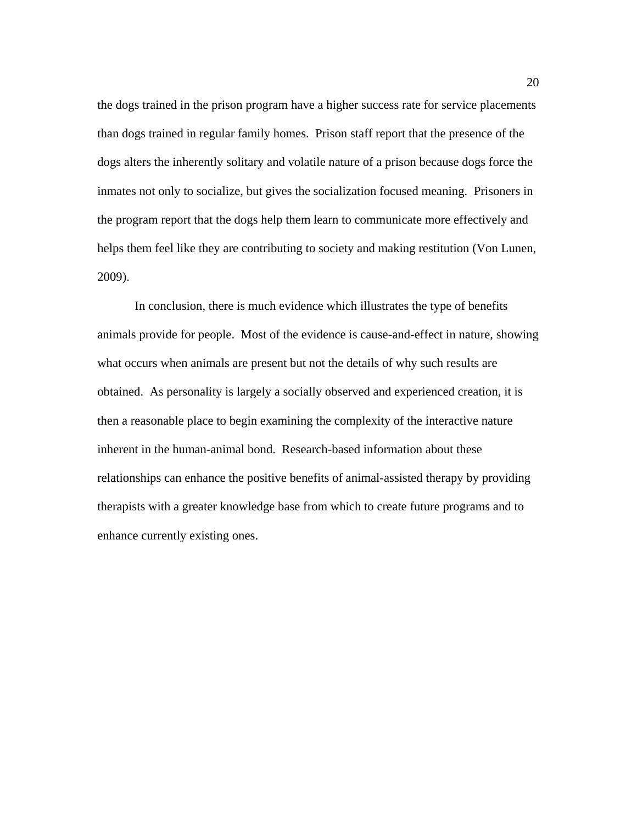the dogs trained in the prison program have a higher success rate for service placements than dogs trained in regular family homes. Prison staff report that the presence of the dogs alters the inherently solitary and volatile nature of a prison because dogs force the inmates not only to socialize, but gives the socialization focused meaning. Prisoners in the program report that the dogs help them learn to communicate more effectively and helps them feel like they are contributing to society and making restitution (Von Lunen, 2009).

 In conclusion, there is much evidence which illustrates the type of benefits animals provide for people. Most of the evidence is cause-and-effect in nature, showing what occurs when animals are present but not the details of why such results are obtained. As personality is largely a socially observed and experienced creation, it is then a reasonable place to begin examining the complexity of the interactive nature inherent in the human-animal bond. Research-based information about these relationships can enhance the positive benefits of animal-assisted therapy by providing therapists with a greater knowledge base from which to create future programs and to enhance currently existing ones.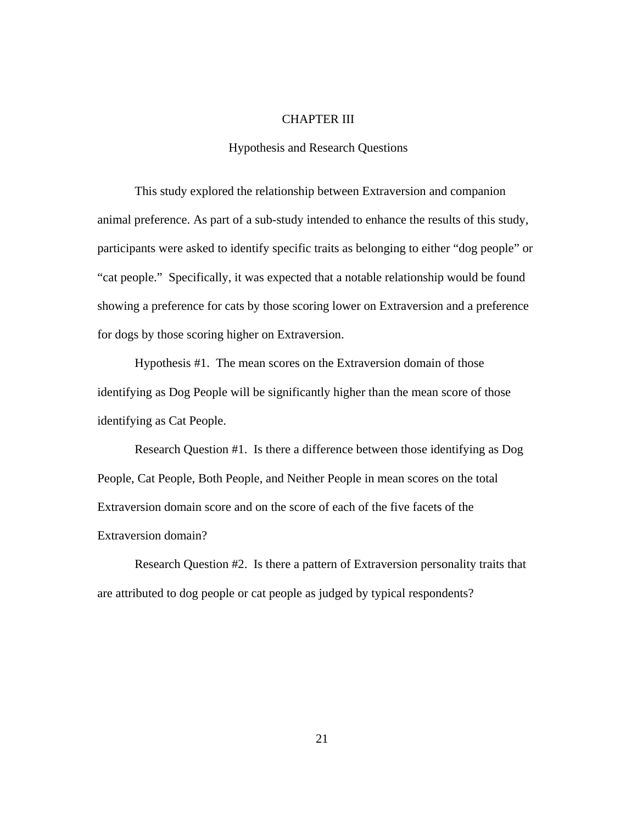#### CHAPTER III

# Hypothesis and Research Questions

This study explored the relationship between Extraversion and companion animal preference. As part of a sub-study intended to enhance the results of this study, participants were asked to identify specific traits as belonging to either "dog people" or "cat people." Specifically, it was expected that a notable relationship would be found showing a preference for cats by those scoring lower on Extraversion and a preference for dogs by those scoring higher on Extraversion.

Hypothesis #1. The mean scores on the Extraversion domain of those identifying as Dog People will be significantly higher than the mean score of those identifying as Cat People.

Research Question #1. Is there a difference between those identifying as Dog People, Cat People, Both People, and Neither People in mean scores on the total Extraversion domain score and on the score of each of the five facets of the Extraversion domain?

Research Question #2. Is there a pattern of Extraversion personality traits that are attributed to dog people or cat people as judged by typical respondents?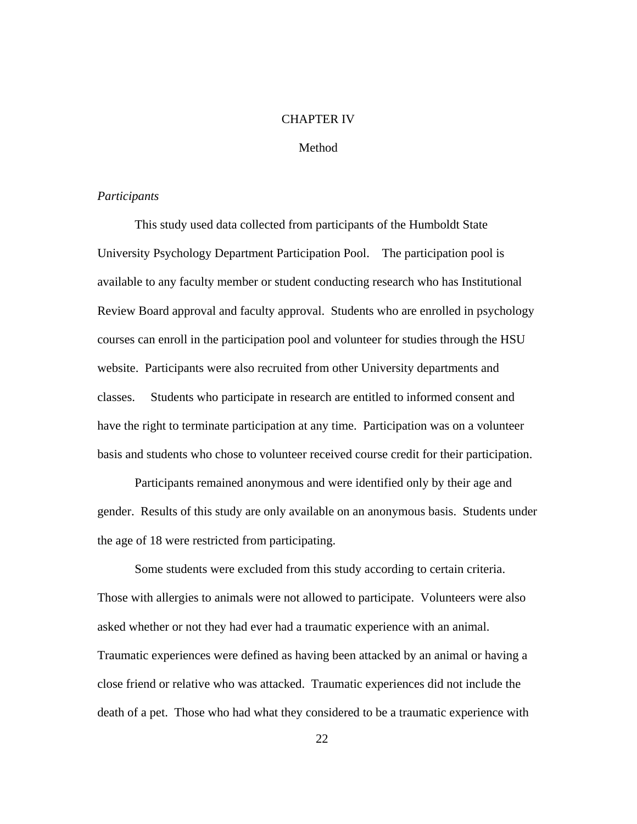### CHAPTER IV

# Method

#### *Participants*

This study used data collected from participants of the Humboldt State University Psychology Department Participation Pool. The participation pool is available to any faculty member or student conducting research who has Institutional Review Board approval and faculty approval. Students who are enrolled in psychology courses can enroll in the participation pool and volunteer for studies through the HSU website. Participants were also recruited from other University departments and classes. Students who participate in research are entitled to informed consent and have the right to terminate participation at any time. Participation was on a volunteer basis and students who chose to volunteer received course credit for their participation.

Participants remained anonymous and were identified only by their age and gender. Results of this study are only available on an anonymous basis. Students under the age of 18 were restricted from participating.

Some students were excluded from this study according to certain criteria. Those with allergies to animals were not allowed to participate. Volunteers were also asked whether or not they had ever had a traumatic experience with an animal. Traumatic experiences were defined as having been attacked by an animal or having a close friend or relative who was attacked. Traumatic experiences did not include the death of a pet. Those who had what they considered to be a traumatic experience with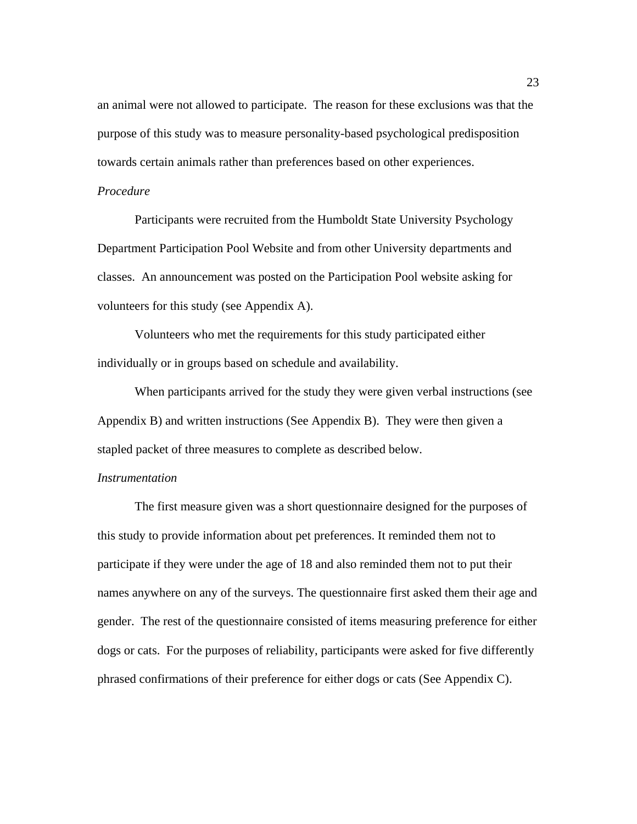an animal were not allowed to participate. The reason for these exclusions was that the purpose of this study was to measure personality-based psychological predisposition towards certain animals rather than preferences based on other experiences.

# *Procedure*

Participants were recruited from the Humboldt State University Psychology Department Participation Pool Website and from other University departments and classes. An announcement was posted on the Participation Pool website asking for volunteers for this study (see Appendix A).

Volunteers who met the requirements for this study participated either individually or in groups based on schedule and availability.

When participants arrived for the study they were given verbal instructions (see Appendix B) and written instructions (See Appendix B). They were then given a stapled packet of three measures to complete as described below.

#### *Instrumentation*

The first measure given was a short questionnaire designed for the purposes of this study to provide information about pet preferences. It reminded them not to participate if they were under the age of 18 and also reminded them not to put their names anywhere on any of the surveys. The questionnaire first asked them their age and gender. The rest of the questionnaire consisted of items measuring preference for either dogs or cats. For the purposes of reliability, participants were asked for five differently phrased confirmations of their preference for either dogs or cats (See Appendix C).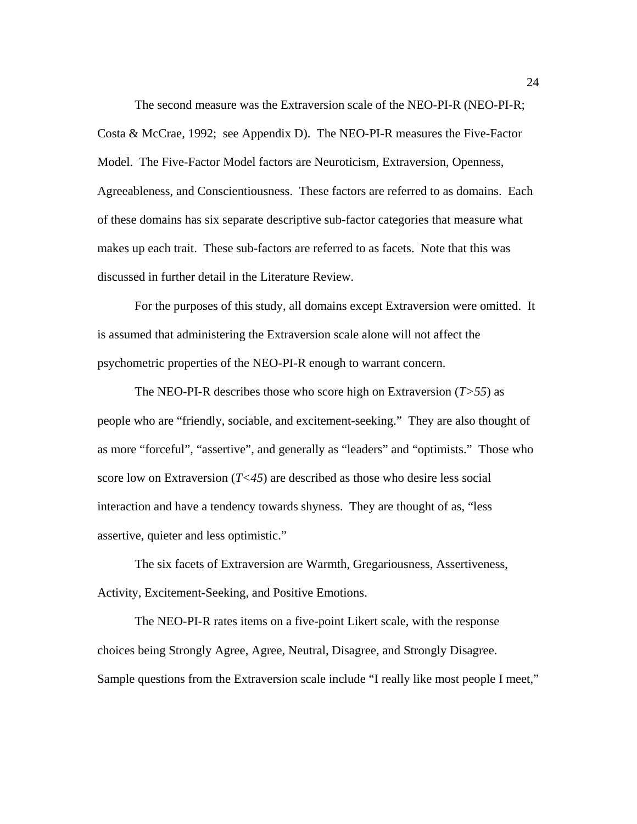The second measure was the Extraversion scale of the NEO-PI-R (NEO-PI-R; Costa & McCrae, 1992; see Appendix D). The NEO-PI-R measures the Five-Factor Model. The Five-Factor Model factors are Neuroticism, Extraversion, Openness, Agreeableness, and Conscientiousness. These factors are referred to as domains. Each of these domains has six separate descriptive sub-factor categories that measure what makes up each trait. These sub-factors are referred to as facets. Note that this was discussed in further detail in the Literature Review.

For the purposes of this study, all domains except Extraversion were omitted. It is assumed that administering the Extraversion scale alone will not affect the psychometric properties of the NEO-PI-R enough to warrant concern.

The NEO-PI-R describes those who score high on Extraversion (*T>55*) as people who are "friendly, sociable, and excitement-seeking." They are also thought of as more "forceful", "assertive", and generally as "leaders" and "optimists." Those who score low on Extraversion  $(T<45)$  are described as those who desire less social interaction and have a tendency towards shyness. They are thought of as, "less assertive, quieter and less optimistic."

The six facets of Extraversion are Warmth, Gregariousness, Assertiveness, Activity, Excitement-Seeking, and Positive Emotions.

The NEO-PI-R rates items on a five-point Likert scale, with the response choices being Strongly Agree, Agree, Neutral, Disagree, and Strongly Disagree. Sample questions from the Extraversion scale include "I really like most people I meet,"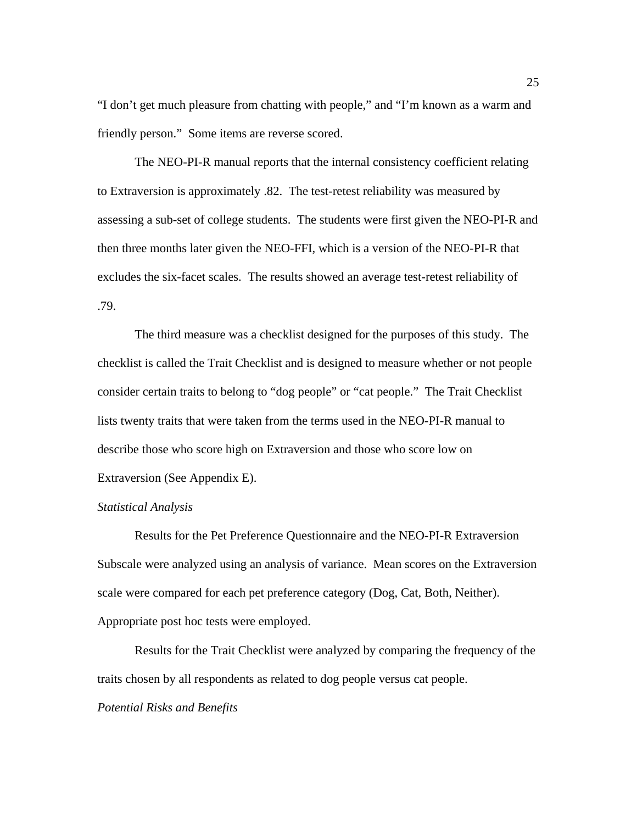"I don't get much pleasure from chatting with people," and "I'm known as a warm and friendly person." Some items are reverse scored.

The NEO-PI-R manual reports that the internal consistency coefficient relating to Extraversion is approximately .82. The test-retest reliability was measured by assessing a sub-set of college students. The students were first given the NEO-PI-R and then three months later given the NEO-FFI, which is a version of the NEO-PI-R that excludes the six-facet scales. The results showed an average test-retest reliability of .79.

The third measure was a checklist designed for the purposes of this study. The checklist is called the Trait Checklist and is designed to measure whether or not people consider certain traits to belong to "dog people" or "cat people." The Trait Checklist lists twenty traits that were taken from the terms used in the NEO-PI-R manual to describe those who score high on Extraversion and those who score low on Extraversion (See Appendix E).

#### *Statistical Analysis*

Results for the Pet Preference Questionnaire and the NEO-PI-R Extraversion Subscale were analyzed using an analysis of variance. Mean scores on the Extraversion scale were compared for each pet preference category (Dog, Cat, Both, Neither). Appropriate post hoc tests were employed.

 Results for the Trait Checklist were analyzed by comparing the frequency of the traits chosen by all respondents as related to dog people versus cat people.

# *Potential Risks and Benefits*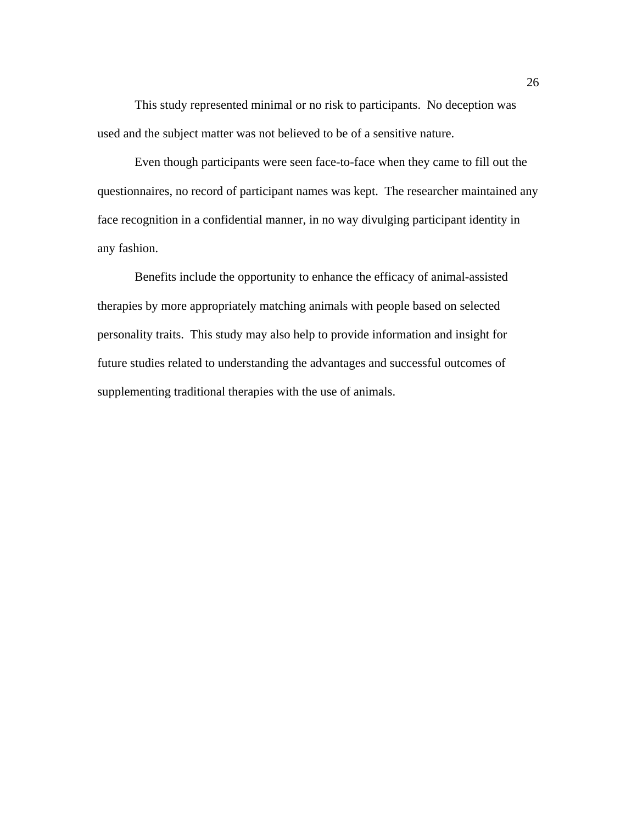This study represented minimal or no risk to participants. No deception was used and the subject matter was not believed to be of a sensitive nature.

Even though participants were seen face-to-face when they came to fill out the questionnaires, no record of participant names was kept. The researcher maintained any face recognition in a confidential manner, in no way divulging participant identity in any fashion.

Benefits include the opportunity to enhance the efficacy of animal-assisted therapies by more appropriately matching animals with people based on selected personality traits. This study may also help to provide information and insight for future studies related to understanding the advantages and successful outcomes of supplementing traditional therapies with the use of animals.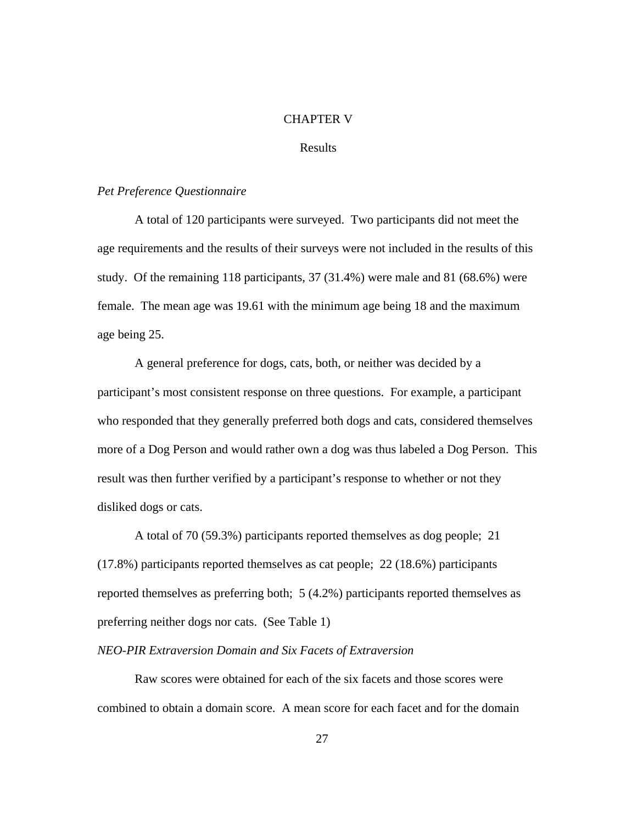#### CHAPTER V

#### Results

## *Pet Preference Questionnaire*

A total of 120 participants were surveyed. Two participants did not meet the age requirements and the results of their surveys were not included in the results of this study. Of the remaining 118 participants, 37 (31.4%) were male and 81 (68.6%) were female. The mean age was 19.61 with the minimum age being 18 and the maximum age being 25.

 A general preference for dogs, cats, both, or neither was decided by a participant's most consistent response on three questions. For example, a participant who responded that they generally preferred both dogs and cats, considered themselves more of a Dog Person and would rather own a dog was thus labeled a Dog Person. This result was then further verified by a participant's response to whether or not they disliked dogs or cats.

 A total of 70 (59.3%) participants reported themselves as dog people; 21 (17.8%) participants reported themselves as cat people; 22 (18.6%) participants reported themselves as preferring both; 5 (4.2%) participants reported themselves as preferring neither dogs nor cats. (See Table 1)

#### *NEO-PIR Extraversion Domain and Six Facets of Extraversion*

 Raw scores were obtained for each of the six facets and those scores were combined to obtain a domain score. A mean score for each facet and for the domain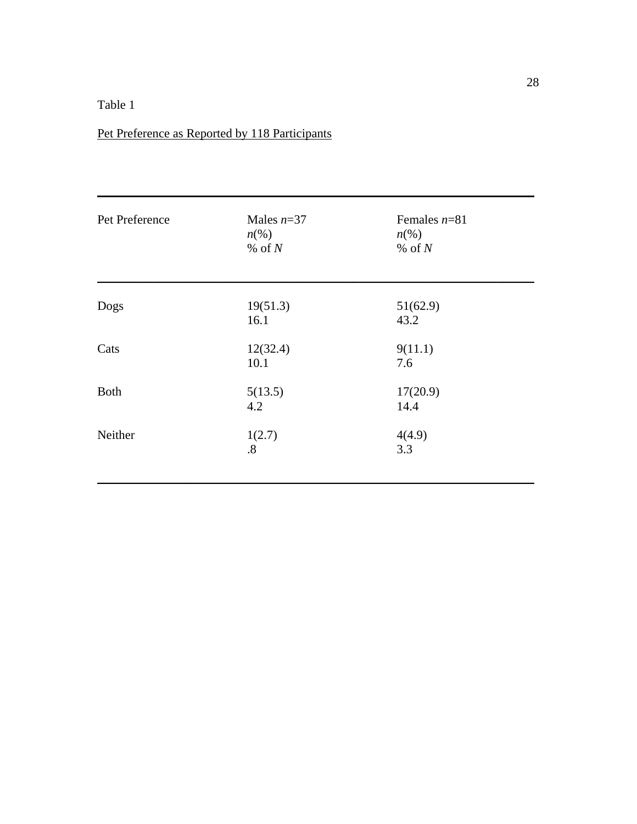# Table 1

# Pet Preference as Reported by 118 Participants

| Pet Preference | Males $n=37$<br>$n\left(\%\right)$<br>$%$ of $N$ | Females $n=81$<br>$n\left(\%\right)$<br>% of $N$ |  |
|----------------|--------------------------------------------------|--------------------------------------------------|--|
| Dogs           | 19(51.3)                                         | 51(62.9)                                         |  |
|                | 16.1                                             | 43.2                                             |  |
| Cats           | 12(32.4)<br>10.1                                 | 9(11.1)<br>7.6                                   |  |
| <b>Both</b>    | 5(13.5)<br>4.2                                   | 17(20.9)<br>14.4                                 |  |
| Neither        | 1(2.7)<br>$\boldsymbol{.8}$                      | 4(4.9)<br>3.3                                    |  |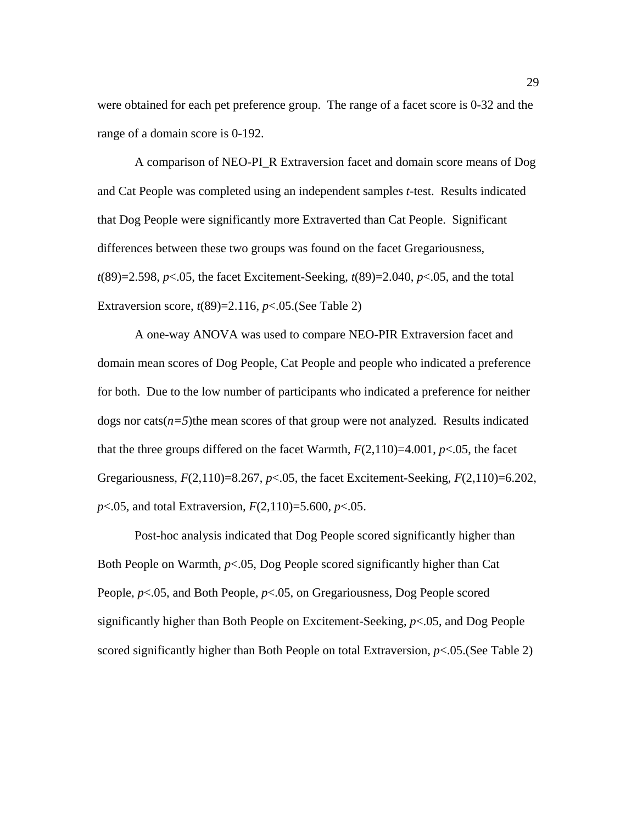were obtained for each pet preference group. The range of a facet score is 0-32 and the range of a domain score is 0-192.

A comparison of NEO-PI\_R Extraversion facet and domain score means of Dog and Cat People was completed using an independent samples *t*-test. Results indicated that Dog People were significantly more Extraverted than Cat People. Significant differences between these two groups was found on the facet Gregariousness, *t*(89)=2.598, *p*<.05, the facet Excitement-Seeking, *t*(89)=2.040, *p*<.05, and the total Extraversion score, *t*(89)=2.116, *p*<.05.(See Table 2)

 A one-way ANOVA was used to compare NEO-PIR Extraversion facet and domain mean scores of Dog People, Cat People and people who indicated a preference for both. Due to the low number of participants who indicated a preference for neither dogs nor cats $(n=5)$ the mean scores of that group were not analyzed. Results indicated that the three groups differed on the facet Warmth,  $F(2,110)=4.001$ ,  $p<.05$ , the facet Gregariousness, *F*(2,110)=8.267, *p*<.05, the facet Excitement-Seeking*, F*(2,110)=6.202, *p*<.05, and total Extraversion*, F*(2,110)=5.600, *p*<.05.

 Post-hoc analysis indicated that Dog People scored significantly higher than Both People on Warmth, *p*<.05, Dog People scored significantly higher than Cat People, *p*<.05, and Both People, *p*<.05, on Gregariousness, Dog People scored significantly higher than Both People on Excitement-Seeking, *p*<.05, and Dog People scored significantly higher than Both People on total Extraversion, *p*<.05.(See Table 2)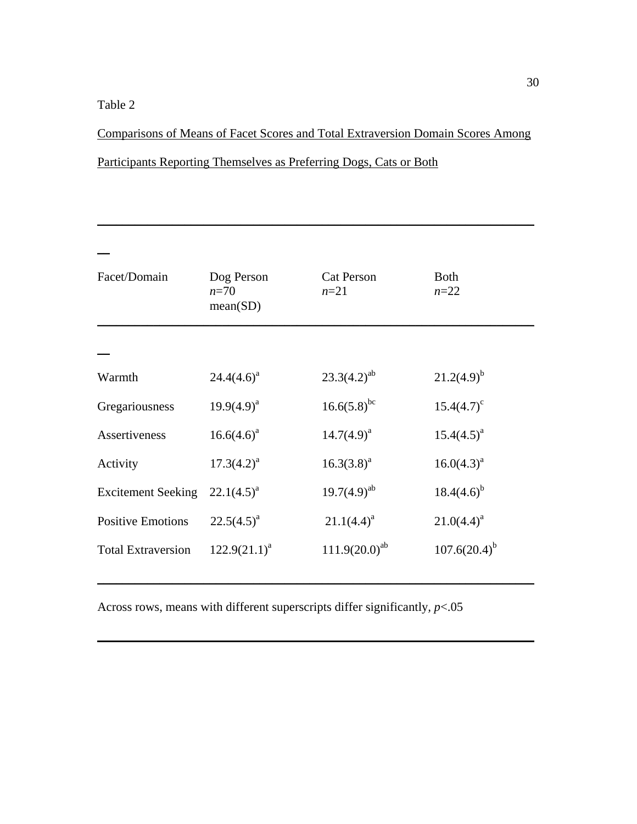# Table 2

Comparisons of Means of Facet Scores and Total Extraversion Domain Scores Among

 $\_$ 

| Facet/Domain              | Dog Person         | <b>Cat Person</b>  | <b>Both</b>         |
|---------------------------|--------------------|--------------------|---------------------|
|                           | $n=70$<br>mean(SD) | $n=21$             | $n = 22$            |
|                           |                    |                    |                     |
| Warmth                    | $24.4(4.6)^a$      | $23.3(4.2)^{ab}$   | $21.2(4.9)^{b}$     |
| Gregariousness            | $19.9(4.9)^{a}$    | $16.6(5.8)^{bc}$   | $15.4(4.7)^{\circ}$ |
| Assertiveness             | $16.6(4.6)^a$      | $14.7(4.9)^a$      | $15.4(4.5)^{a}$     |
| Activity                  | $17.3(4.2)^a$      | $16.3(3.8)^a$      | $16.0(4.3)^a$       |
| <b>Excitement Seeking</b> | $22.1(4.5)^{a}$    | $19.7(4.9)^{ab}$   | $18.4(4.6)^{b}$     |
| <b>Positive Emotions</b>  | $22.5(4.5)^{a}$    | $21.1(4.4)^a$      | $21.0(4.4)^a$       |
| <b>Total Extraversion</b> | $122.9(21.1)^a$    | $111.9(20.0)^{ab}$ | $107.6(20.4)^{b}$   |

Across rows, means with different superscripts differ significantly*, p*<.05

 $\_$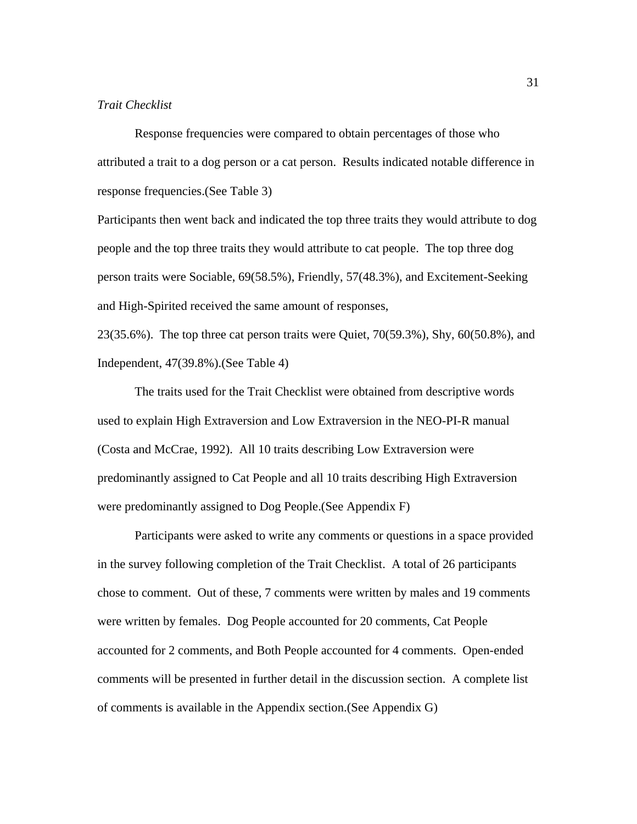## *Trait Checklist*

Response frequencies were compared to obtain percentages of those who attributed a trait to a dog person or a cat person. Results indicated notable difference in response frequencies.(See Table 3)

Participants then went back and indicated the top three traits they would attribute to dog people and the top three traits they would attribute to cat people. The top three dog person traits were Sociable, 69(58.5%), Friendly, 57(48.3%), and Excitement-Seeking and High-Spirited received the same amount of responses,

23(35.6%). The top three cat person traits were Quiet, 70(59.3%), Shy, 60(50.8%), and Independent, 47(39.8%).(See Table 4)

The traits used for the Trait Checklist were obtained from descriptive words used to explain High Extraversion and Low Extraversion in the NEO-PI-R manual (Costa and McCrae, 1992). All 10 traits describing Low Extraversion were predominantly assigned to Cat People and all 10 traits describing High Extraversion were predominantly assigned to Dog People.(See Appendix F)

Participants were asked to write any comments or questions in a space provided in the survey following completion of the Trait Checklist. A total of 26 participants chose to comment. Out of these, 7 comments were written by males and 19 comments were written by females. Dog People accounted for 20 comments, Cat People accounted for 2 comments, and Both People accounted for 4 comments. Open-ended comments will be presented in further detail in the discussion section. A complete list of comments is available in the Appendix section.(See Appendix G)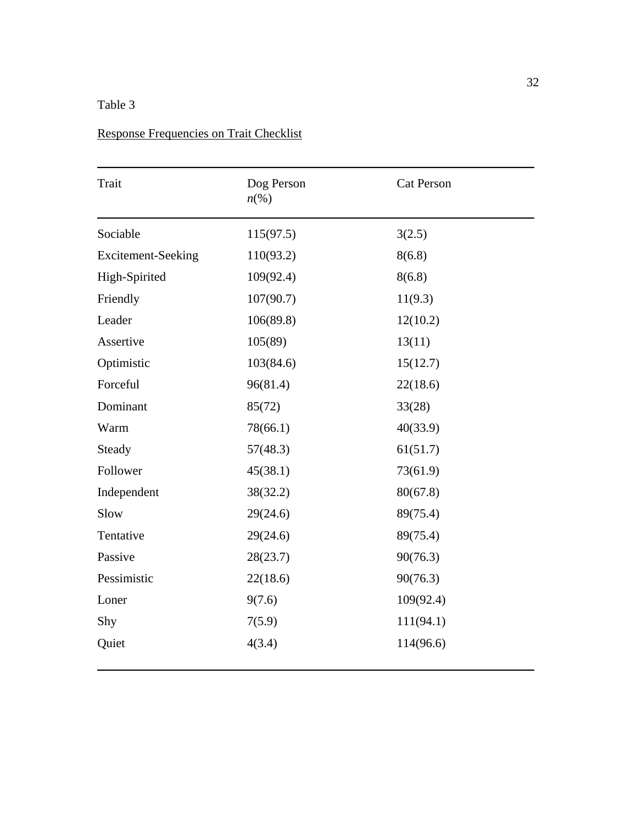## Table 3

## Response Frequencies on Trait Checklist

| Trait                     | Dog Person<br>$n\ll 0$ | <b>Cat Person</b> |
|---------------------------|------------------------|-------------------|
| Sociable                  | 115(97.5)              | 3(2.5)            |
| <b>Excitement-Seeking</b> | 110(93.2)              | 8(6.8)            |
| High-Spirited             | 109(92.4)              | 8(6.8)            |
| Friendly                  | 107(90.7)              | 11(9.3)           |
| Leader                    | 106(89.8)              | 12(10.2)          |
| Assertive                 | 105(89)                | 13(11)            |
| Optimistic                | 103(84.6)              | 15(12.7)          |
| Forceful                  | 96(81.4)               | 22(18.6)          |
| Dominant                  | 85(72)                 | 33(28)            |
| Warm                      | 78(66.1)               | 40(33.9)          |
| Steady                    | 57(48.3)               | 61(51.7)          |
| Follower                  | 45(38.1)               | 73(61.9)          |
| Independent               | 38(32.2)               | 80(67.8)          |
| Slow                      | 29(24.6)               | 89(75.4)          |
| Tentative                 | 29(24.6)               | 89(75.4)          |
| Passive                   | 28(23.7)               | 90(76.3)          |
| Pessimistic               | 22(18.6)               | 90(76.3)          |
| Loner                     | 9(7.6)                 | 109(92.4)         |
| Shy                       | 7(5.9)                 | 111(94.1)         |
| Quiet                     | 4(3.4)                 | 114(96.6)         |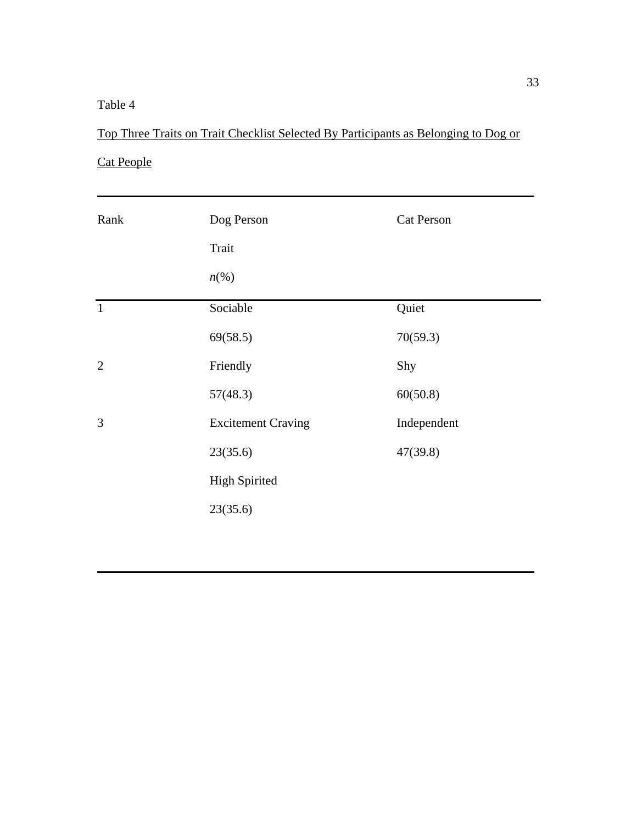## Table 4

## Top Three Traits on Trait Checklist Selected By Participants as Belonging to Dog or

 $\blacksquare$ 

## Cat People

| Rank           | Dog Person<br>Trait<br>$n\ll 0$ | <b>Cat Person</b> |
|----------------|---------------------------------|-------------------|
| $\mathbf{1}$   | Sociable                        | Quiet             |
|                | 69(58.5)                        | 70(59.3)          |
| $\overline{2}$ | Friendly                        | Shy               |
|                | 57(48.3)                        | 60(50.8)          |
| 3              | <b>Excitement Craving</b>       | Independent       |
|                | 23(35.6)                        | 47(39.8)          |
|                | <b>High Spirited</b>            |                   |
|                | 23(35.6)                        |                   |

 $\_$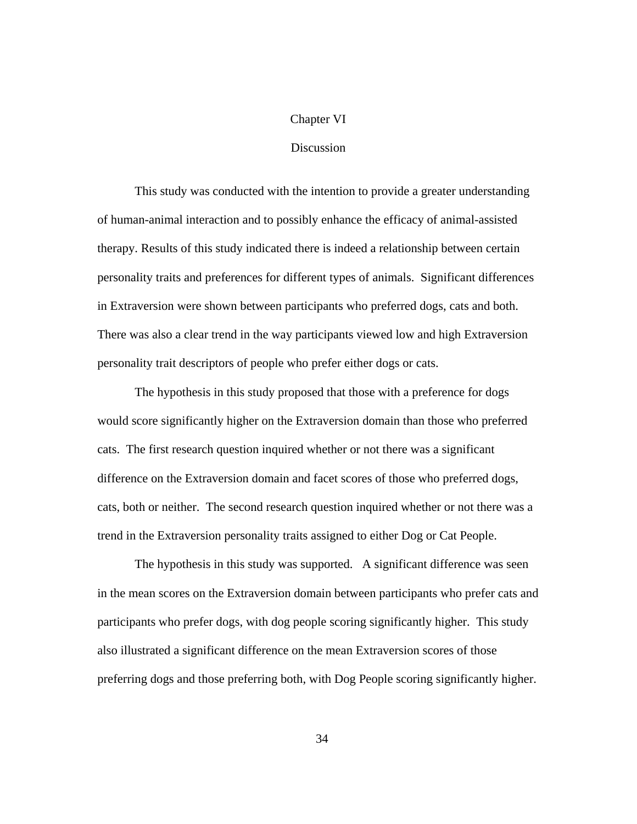### Chapter VI

### Discussion

This study was conducted with the intention to provide a greater understanding of human-animal interaction and to possibly enhance the efficacy of animal-assisted therapy. Results of this study indicated there is indeed a relationship between certain personality traits and preferences for different types of animals. Significant differences in Extraversion were shown between participants who preferred dogs, cats and both. There was also a clear trend in the way participants viewed low and high Extraversion personality trait descriptors of people who prefer either dogs or cats.

The hypothesis in this study proposed that those with a preference for dogs would score significantly higher on the Extraversion domain than those who preferred cats. The first research question inquired whether or not there was a significant difference on the Extraversion domain and facet scores of those who preferred dogs, cats, both or neither. The second research question inquired whether or not there was a trend in the Extraversion personality traits assigned to either Dog or Cat People.

The hypothesis in this study was supported. A significant difference was seen in the mean scores on the Extraversion domain between participants who prefer cats and participants who prefer dogs, with dog people scoring significantly higher. This study also illustrated a significant difference on the mean Extraversion scores of those preferring dogs and those preferring both, with Dog People scoring significantly higher.

34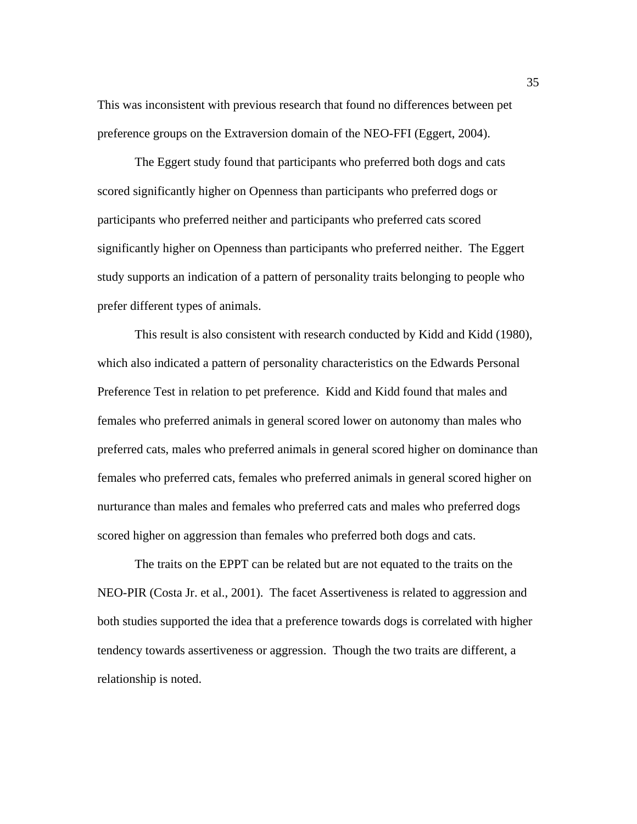This was inconsistent with previous research that found no differences between pet preference groups on the Extraversion domain of the NEO-FFI (Eggert, 2004).

The Eggert study found that participants who preferred both dogs and cats scored significantly higher on Openness than participants who preferred dogs or participants who preferred neither and participants who preferred cats scored significantly higher on Openness than participants who preferred neither. The Eggert study supports an indication of a pattern of personality traits belonging to people who prefer different types of animals.

This result is also consistent with research conducted by Kidd and Kidd (1980), which also indicated a pattern of personality characteristics on the Edwards Personal Preference Test in relation to pet preference. Kidd and Kidd found that males and females who preferred animals in general scored lower on autonomy than males who preferred cats, males who preferred animals in general scored higher on dominance than females who preferred cats, females who preferred animals in general scored higher on nurturance than males and females who preferred cats and males who preferred dogs scored higher on aggression than females who preferred both dogs and cats.

The traits on the EPPT can be related but are not equated to the traits on the NEO-PIR (Costa Jr. et al., 2001). The facet Assertiveness is related to aggression and both studies supported the idea that a preference towards dogs is correlated with higher tendency towards assertiveness or aggression. Though the two traits are different, a relationship is noted.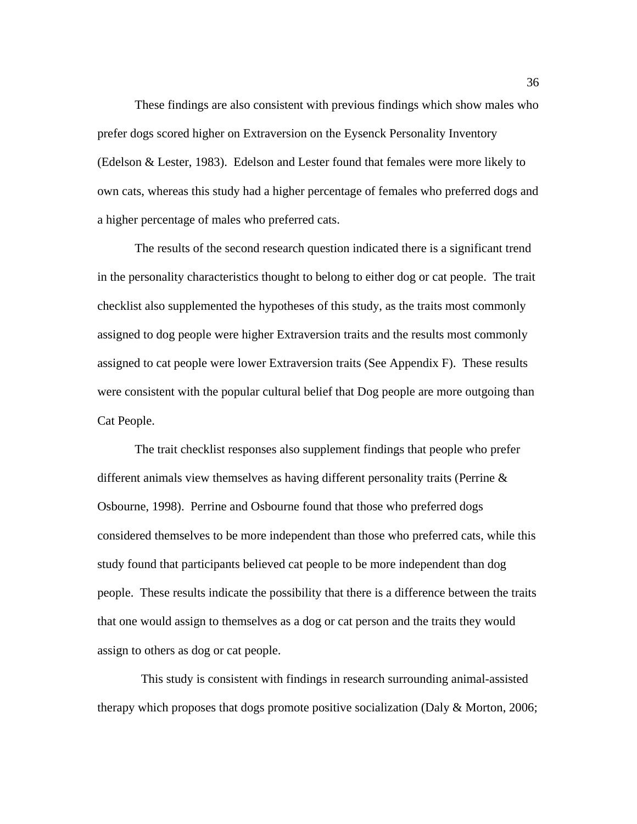These findings are also consistent with previous findings which show males who prefer dogs scored higher on Extraversion on the Eysenck Personality Inventory (Edelson & Lester, 1983). Edelson and Lester found that females were more likely to own cats, whereas this study had a higher percentage of females who preferred dogs and a higher percentage of males who preferred cats.

The results of the second research question indicated there is a significant trend in the personality characteristics thought to belong to either dog or cat people. The trait checklist also supplemented the hypotheses of this study, as the traits most commonly assigned to dog people were higher Extraversion traits and the results most commonly assigned to cat people were lower Extraversion traits (See Appendix F). These results were consistent with the popular cultural belief that Dog people are more outgoing than Cat People.

The trait checklist responses also supplement findings that people who prefer different animals view themselves as having different personality traits (Perrine & Osbourne, 1998). Perrine and Osbourne found that those who preferred dogs considered themselves to be more independent than those who preferred cats, while this study found that participants believed cat people to be more independent than dog people. These results indicate the possibility that there is a difference between the traits that one would assign to themselves as a dog or cat person and the traits they would assign to others as dog or cat people.

 This study is consistent with findings in research surrounding animal-assisted therapy which proposes that dogs promote positive socialization (Daly & Morton, 2006;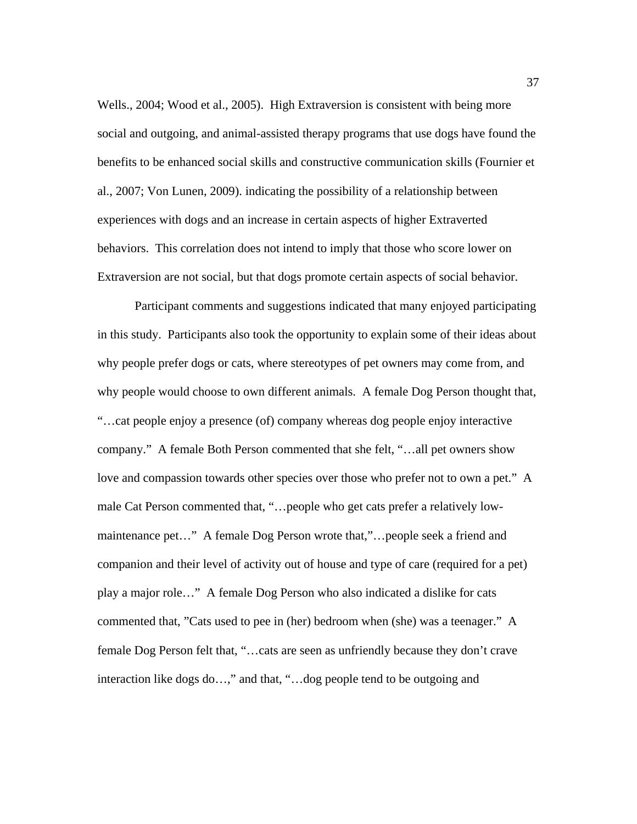Wells., 2004; Wood et al., 2005). High Extraversion is consistent with being more social and outgoing, and animal-assisted therapy programs that use dogs have found the benefits to be enhanced social skills and constructive communication skills (Fournier et al., 2007; Von Lunen, 2009). indicating the possibility of a relationship between experiences with dogs and an increase in certain aspects of higher Extraverted behaviors. This correlation does not intend to imply that those who score lower on Extraversion are not social, but that dogs promote certain aspects of social behavior.

Participant comments and suggestions indicated that many enjoyed participating in this study. Participants also took the opportunity to explain some of their ideas about why people prefer dogs or cats, where stereotypes of pet owners may come from, and why people would choose to own different animals. A female Dog Person thought that, "…cat people enjoy a presence (of) company whereas dog people enjoy interactive company." A female Both Person commented that she felt, "…all pet owners show love and compassion towards other species over those who prefer not to own a pet." A male Cat Person commented that, "…people who get cats prefer a relatively lowmaintenance pet…" A female Dog Person wrote that,"…people seek a friend and companion and their level of activity out of house and type of care (required for a pet) play a major role…" A female Dog Person who also indicated a dislike for cats commented that, "Cats used to pee in (her) bedroom when (she) was a teenager." A female Dog Person felt that, "…cats are seen as unfriendly because they don't crave interaction like dogs do…," and that, "…dog people tend to be outgoing and

37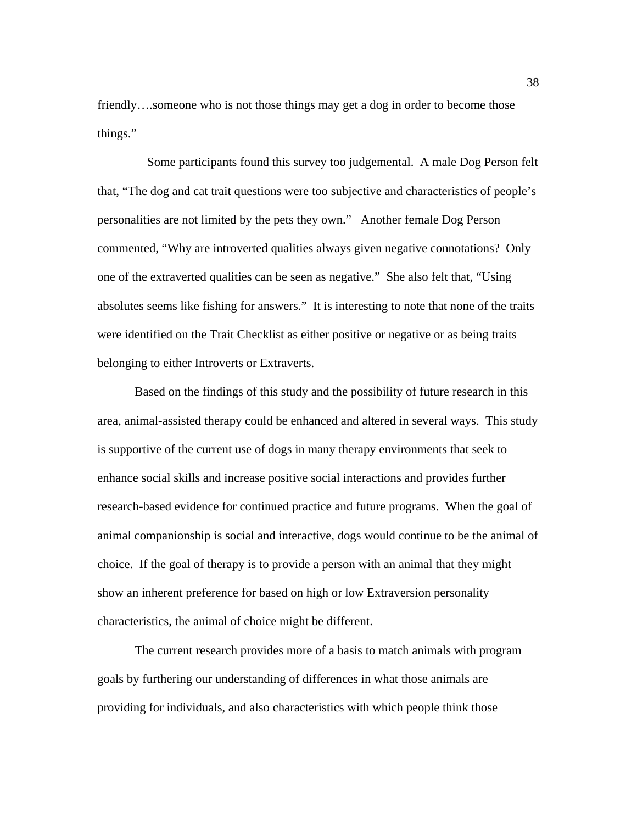friendly….someone who is not those things may get a dog in order to become those things."

 Some participants found this survey too judgemental. A male Dog Person felt that, "The dog and cat trait questions were too subjective and characteristics of people's personalities are not limited by the pets they own." Another female Dog Person commented, "Why are introverted qualities always given negative connotations? Only one of the extraverted qualities can be seen as negative." She also felt that, "Using absolutes seems like fishing for answers." It is interesting to note that none of the traits were identified on the Trait Checklist as either positive or negative or as being traits belonging to either Introverts or Extraverts.

Based on the findings of this study and the possibility of future research in this area, animal-assisted therapy could be enhanced and altered in several ways. This study is supportive of the current use of dogs in many therapy environments that seek to enhance social skills and increase positive social interactions and provides further research-based evidence for continued practice and future programs. When the goal of animal companionship is social and interactive, dogs would continue to be the animal of choice. If the goal of therapy is to provide a person with an animal that they might show an inherent preference for based on high or low Extraversion personality characteristics, the animal of choice might be different.

The current research provides more of a basis to match animals with program goals by furthering our understanding of differences in what those animals are providing for individuals, and also characteristics with which people think those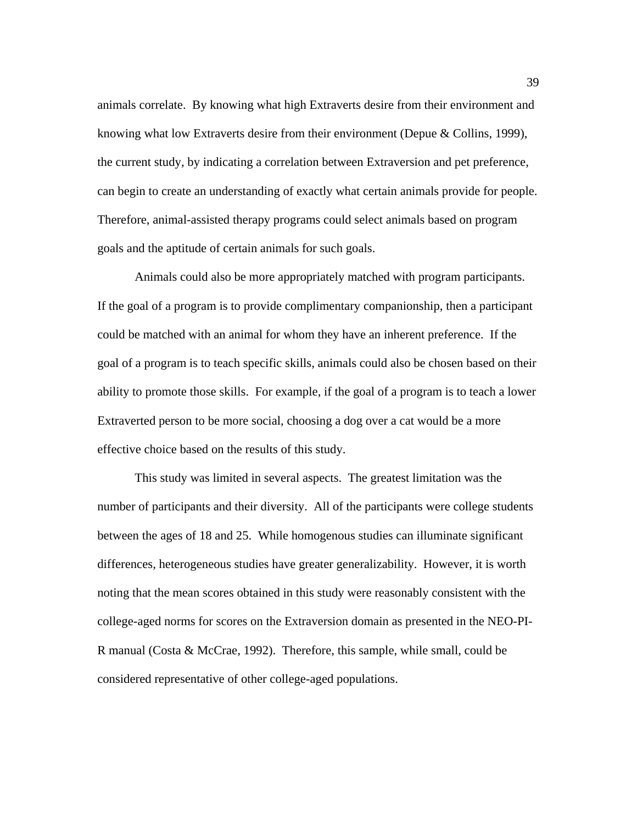animals correlate. By knowing what high Extraverts desire from their environment and knowing what low Extraverts desire from their environment (Depue & Collins, 1999), the current study, by indicating a correlation between Extraversion and pet preference, can begin to create an understanding of exactly what certain animals provide for people. Therefore, animal-assisted therapy programs could select animals based on program goals and the aptitude of certain animals for such goals.

Animals could also be more appropriately matched with program participants. If the goal of a program is to provide complimentary companionship, then a participant could be matched with an animal for whom they have an inherent preference. If the goal of a program is to teach specific skills, animals could also be chosen based on their ability to promote those skills. For example, if the goal of a program is to teach a lower Extraverted person to be more social, choosing a dog over a cat would be a more effective choice based on the results of this study.

This study was limited in several aspects. The greatest limitation was the number of participants and their diversity. All of the participants were college students between the ages of 18 and 25. While homogenous studies can illuminate significant differences, heterogeneous studies have greater generalizability. However, it is worth noting that the mean scores obtained in this study were reasonably consistent with the college-aged norms for scores on the Extraversion domain as presented in the NEO-PI-R manual (Costa & McCrae, 1992). Therefore, this sample, while small, could be considered representative of other college-aged populations.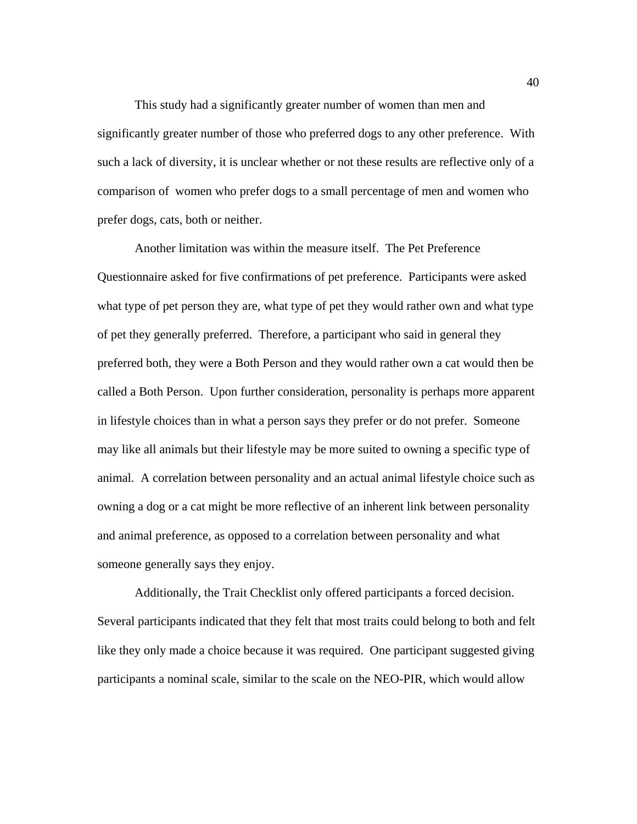This study had a significantly greater number of women than men and significantly greater number of those who preferred dogs to any other preference. With such a lack of diversity, it is unclear whether or not these results are reflective only of a comparison of women who prefer dogs to a small percentage of men and women who prefer dogs, cats, both or neither.

Another limitation was within the measure itself. The Pet Preference Questionnaire asked for five confirmations of pet preference. Participants were asked what type of pet person they are, what type of pet they would rather own and what type of pet they generally preferred. Therefore, a participant who said in general they preferred both, they were a Both Person and they would rather own a cat would then be called a Both Person. Upon further consideration, personality is perhaps more apparent in lifestyle choices than in what a person says they prefer or do not prefer. Someone may like all animals but their lifestyle may be more suited to owning a specific type of animal. A correlation between personality and an actual animal lifestyle choice such as owning a dog or a cat might be more reflective of an inherent link between personality and animal preference, as opposed to a correlation between personality and what someone generally says they enjoy.

Additionally, the Trait Checklist only offered participants a forced decision. Several participants indicated that they felt that most traits could belong to both and felt like they only made a choice because it was required. One participant suggested giving participants a nominal scale, similar to the scale on the NEO-PIR, which would allow

40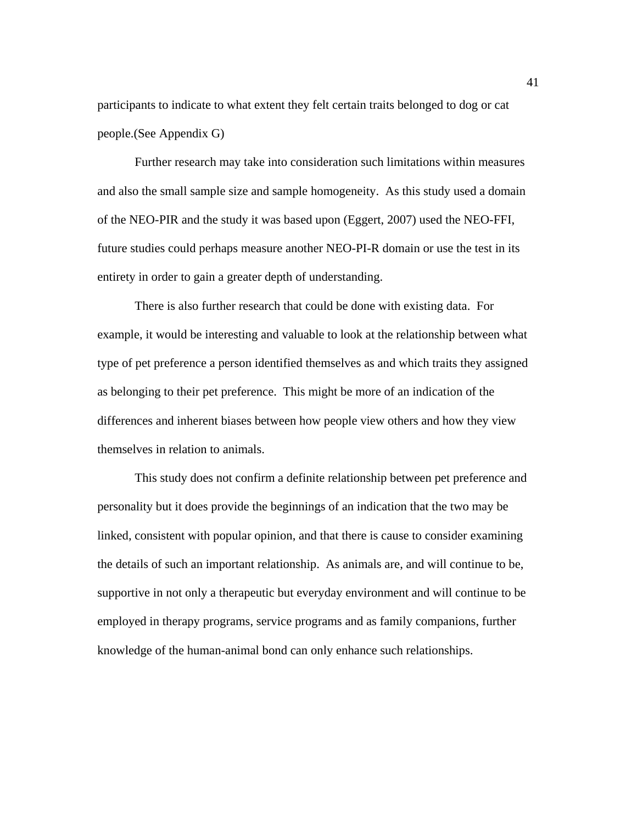participants to indicate to what extent they felt certain traits belonged to dog or cat people.(See Appendix G)

Further research may take into consideration such limitations within measures and also the small sample size and sample homogeneity. As this study used a domain of the NEO-PIR and the study it was based upon (Eggert, 2007) used the NEO-FFI, future studies could perhaps measure another NEO-PI-R domain or use the test in its entirety in order to gain a greater depth of understanding.

There is also further research that could be done with existing data. For example, it would be interesting and valuable to look at the relationship between what type of pet preference a person identified themselves as and which traits they assigned as belonging to their pet preference. This might be more of an indication of the differences and inherent biases between how people view others and how they view themselves in relation to animals.

This study does not confirm a definite relationship between pet preference and personality but it does provide the beginnings of an indication that the two may be linked, consistent with popular opinion, and that there is cause to consider examining the details of such an important relationship. As animals are, and will continue to be, supportive in not only a therapeutic but everyday environment and will continue to be employed in therapy programs, service programs and as family companions, further knowledge of the human-animal bond can only enhance such relationships.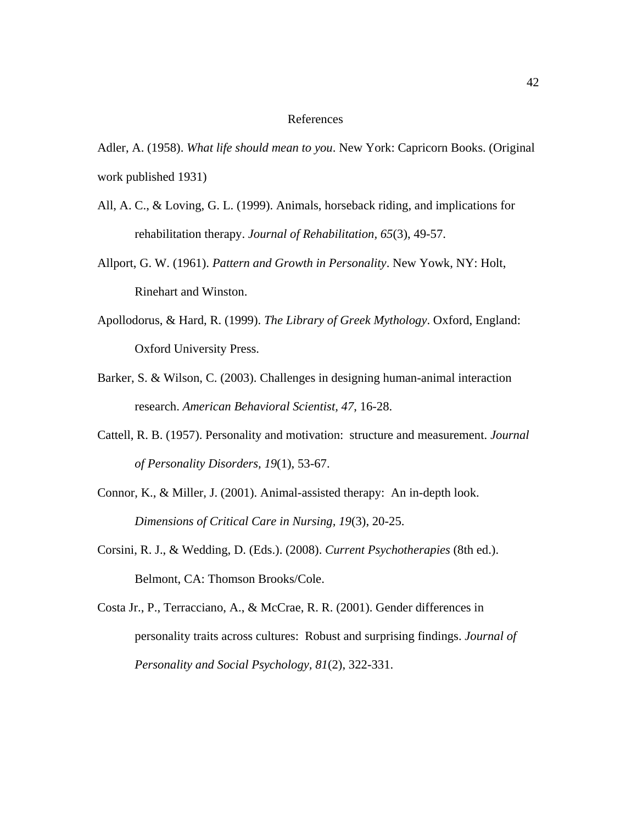#### References

Adler, A. (1958). *What life should mean to you*. New York: Capricorn Books. (Original work published 1931)

- All, A. C., & Loving, G. L. (1999). Animals, horseback riding, and implications for rehabilitation therapy. *Journal of Rehabilitation, 65*(3), 49-57.
- Allport, G. W. (1961). *Pattern and Growth in Personality*. New Yowk, NY: Holt, Rinehart and Winston.
- Apollodorus, & Hard, R. (1999). *The Library of Greek Mythology*. Oxford, England: Oxford University Press.
- Barker, S. & Wilson, C. (2003). Challenges in designing human-animal interaction research. *American Behavioral Scientist, 47*, 16-28.
- Cattell, R. B. (1957). Personality and motivation: structure and measurement. *Journal of Personality Disorders, 19*(1), 53-67.
- Connor, K., & Miller, J. (2001). Animal-assisted therapy: An in-depth look. *Dimensions of Critical Care in Nursing, 19*(3), 20-25.
- Corsini, R. J., & Wedding, D. (Eds.). (2008). *Current Psychotherapies* (8th ed.). Belmont, CA: Thomson Brooks/Cole.

Costa Jr., P., Terracciano, A., & McCrae, R. R. (2001). Gender differences in personality traits across cultures: Robust and surprising findings. *Journal of Personality and Social Psychology, 81*(2), 322-331.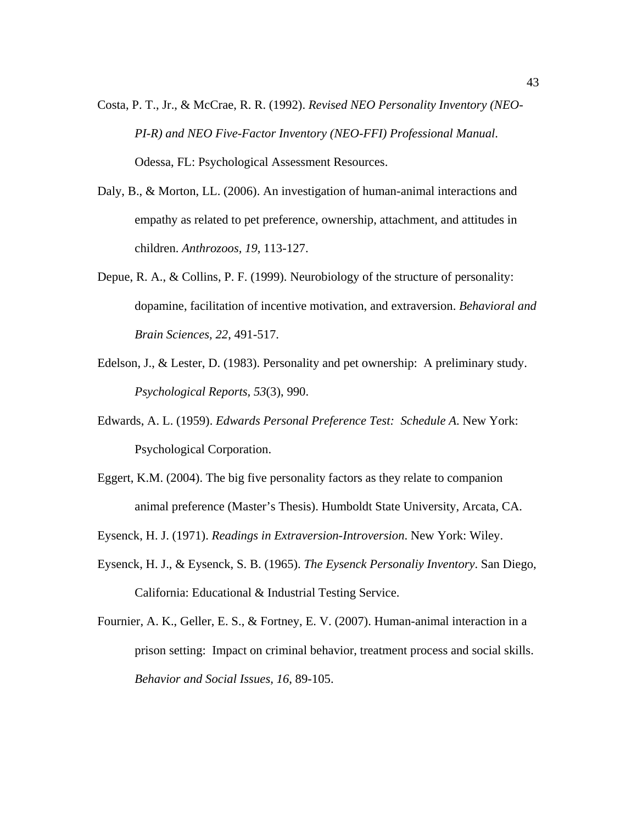- Costa, P. T., Jr., & McCrae, R. R. (1992). *Revised NEO Personality Inventory (NEO-PI-R) and NEO Five-Factor Inventory (NEO-FFI) Professional Manual*. Odessa, FL: Psychological Assessment Resources.
- Daly, B., & Morton, LL. (2006). An investigation of human-animal interactions and empathy as related to pet preference, ownership, attachment, and attitudes in children. *Anthrozoos, 19*, 113-127.
- Depue, R. A., & Collins, P. F. (1999). Neurobiology of the structure of personality: dopamine, facilitation of incentive motivation, and extraversion. *Behavioral and Brain Sciences, 22*, 491-517.
- Edelson, J., & Lester, D. (1983). Personality and pet ownership: A preliminary study. *Psychological Reports, 53*(3), 990.
- Edwards, A. L. (1959). *Edwards Personal Preference Test: Schedule A*. New York: Psychological Corporation.
- Eggert, K.M. (2004). The big five personality factors as they relate to companion animal preference (Master's Thesis). Humboldt State University, Arcata, CA.
- Eysenck, H. J. (1971). *Readings in Extraversion-Introversion*. New York: Wiley.
- Eysenck, H. J., & Eysenck, S. B. (1965). *The Eysenck Personaliy Inventory*. San Diego, California: Educational & Industrial Testing Service.
- Fournier, A. K., Geller, E. S., & Fortney, E. V. (2007). Human-animal interaction in a prison setting: Impact on criminal behavior, treatment process and social skills. *Behavior and Social Issues, 16*, 89-105.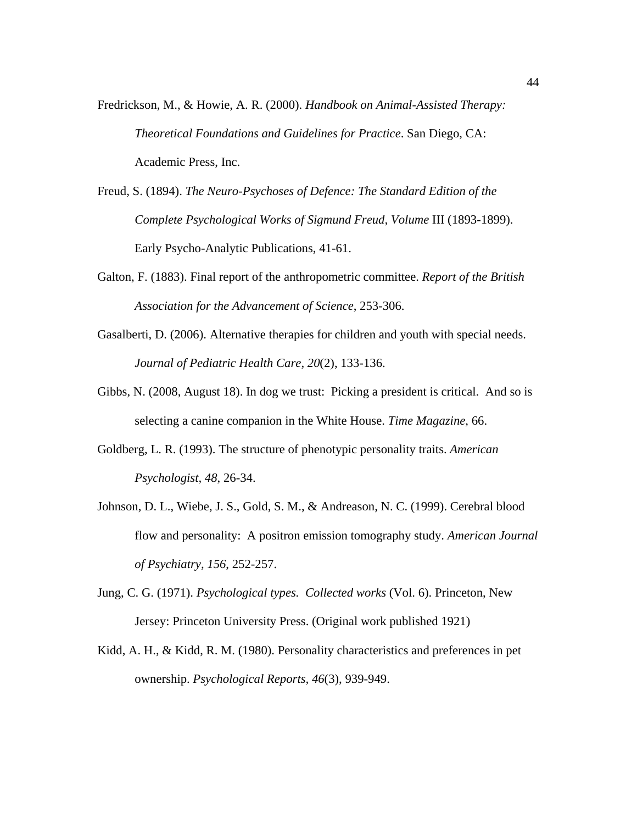- Fredrickson, M., & Howie, A. R. (2000). *Handbook on Animal-Assisted Therapy: Theoretical Foundations and Guidelines for Practice*. San Diego, CA: Academic Press, Inc.
- Freud, S. (1894). *The Neuro-Psychoses of Defence: The Standard Edition of the Complete Psychological Works of Sigmund Freud, Volume* III (1893-1899). Early Psycho-Analytic Publications, 41-61.
- Galton, F. (1883). Final report of the anthropometric committee. *Report of the British Association for the Advancement of Science*, 253-306.
- Gasalberti, D. (2006). Alternative therapies for children and youth with special needs. *Journal of Pediatric Health Care, 20*(2), 133-136.
- Gibbs, N. (2008, August 18). In dog we trust: Picking a president is critical. And so is selecting a canine companion in the White House. *Time Magazine*, 66.
- Goldberg, L. R. (1993). The structure of phenotypic personality traits. *American Psychologist, 48*, 26-34.
- Johnson, D. L., Wiebe, J. S., Gold, S. M., & Andreason, N. C. (1999). Cerebral blood flow and personality: A positron emission tomography study. *American Journal of Psychiatry, 156*, 252-257.
- Jung, C. G. (1971). *Psychological types. Collected works* (Vol. 6). Princeton, New Jersey: Princeton University Press. (Original work published 1921)
- Kidd, A. H., & Kidd, R. M. (1980). Personality characteristics and preferences in pet ownership. *Psychological Reports, 46*(3), 939-949.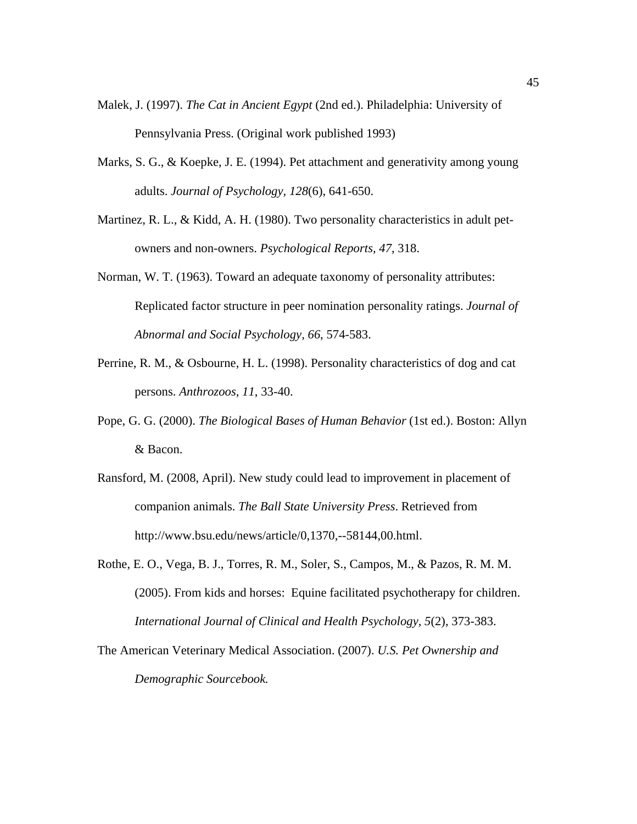- Malek, J. (1997). *The Cat in Ancient Egypt* (2nd ed.). Philadelphia: University of Pennsylvania Press. (Original work published 1993)
- Marks, S. G., & Koepke, J. E. (1994). Pet attachment and generativity among young adults. *Journal of Psychology, 128*(6), 641-650.
- Martinez, R. L.,  $\&$  Kidd, A. H. (1980). Two personality characteristics in adult petowners and non-owners. *Psychological Reports, 47*, 318.
- Norman, W. T. (1963). Toward an adequate taxonomy of personality attributes: Replicated factor structure in peer nomination personality ratings. *Journal of Abnormal and Social Psychology, 66*, 574-583.
- Perrine, R. M., & Osbourne, H. L. (1998). Personality characteristics of dog and cat persons. *Anthrozoos, 11*, 33-40.
- Pope, G. G. (2000). *The Biological Bases of Human Behavior* (1st ed.). Boston: Allyn & Bacon.
- Ransford, M. (2008, April). New study could lead to improvement in placement of companion animals. *The Ball State University Press*. Retrieved from http://www.bsu.edu/news/article/0,1370,--58144,00.html.
- Rothe, E. O., Vega, B. J., Torres, R. M., Soler, S., Campos, M., & Pazos, R. M. M. (2005). From kids and horses: Equine facilitated psychotherapy for children. *International Journal of Clinical and Health Psychology, 5*(2), 373-383.
- The American Veterinary Medical Association. (2007). *U.S. Pet Ownership and Demographic Sourcebook.*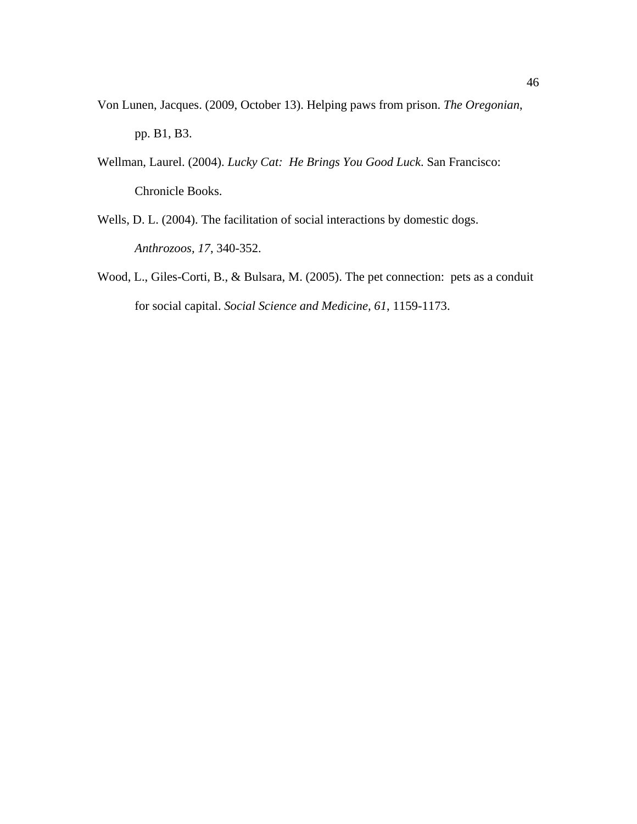- Von Lunen, Jacques. (2009, October 13). Helping paws from prison. *The Oregonian*, pp. B1, B3.
- Wellman, Laurel. (2004). *Lucky Cat: He Brings You Good Luck*. San Francisco: Chronicle Books.
- Wells, D. L. (2004). The facilitation of social interactions by domestic dogs. *Anthrozoos, 17*, 340-352.
- Wood, L., Giles-Corti, B., & Bulsara, M. (2005). The pet connection: pets as a conduit for social capital. *Social Science and Medicine, 61*, 1159-1173.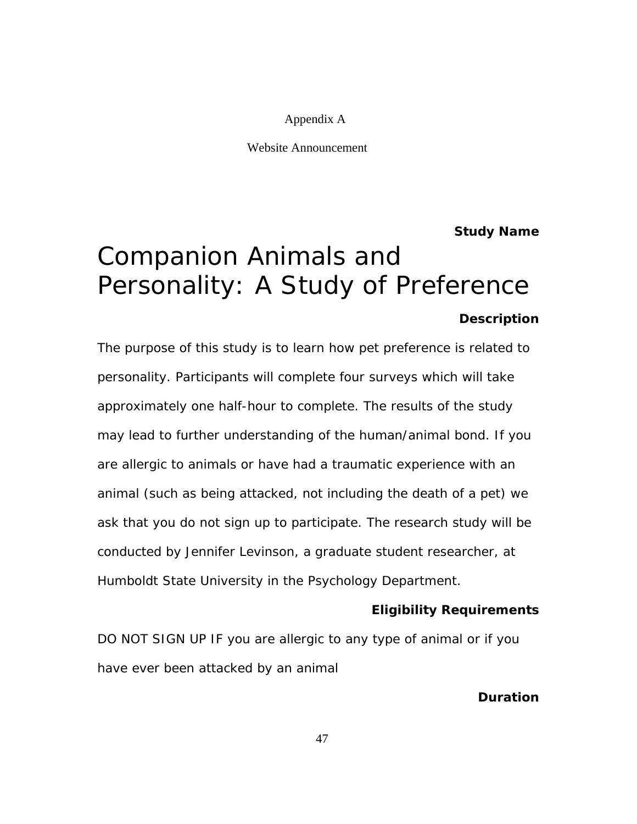### Appendix A

Website Announcement

**Study Name**

# Companion Animals and Personality: A Study of Preference **Description**

The purpose of this study is to learn how pet preference is related to personality. Participants will complete four surveys which will take approximately one half-hour to complete. The results of the study may lead to further understanding of the human/animal bond. If you are allergic to animals or have had a traumatic experience with an animal (such as being attacked, not including the death of a pet) we ask that you do not sign up to participate. The research study will be conducted by Jennifer Levinson, a graduate student researcher, at Humboldt State University in the Psychology Department.

### **Eligibility Requirements**

DO NOT SIGN UP IF you are allergic to any type of animal or if you have ever been attacked by an animal

### **Duration**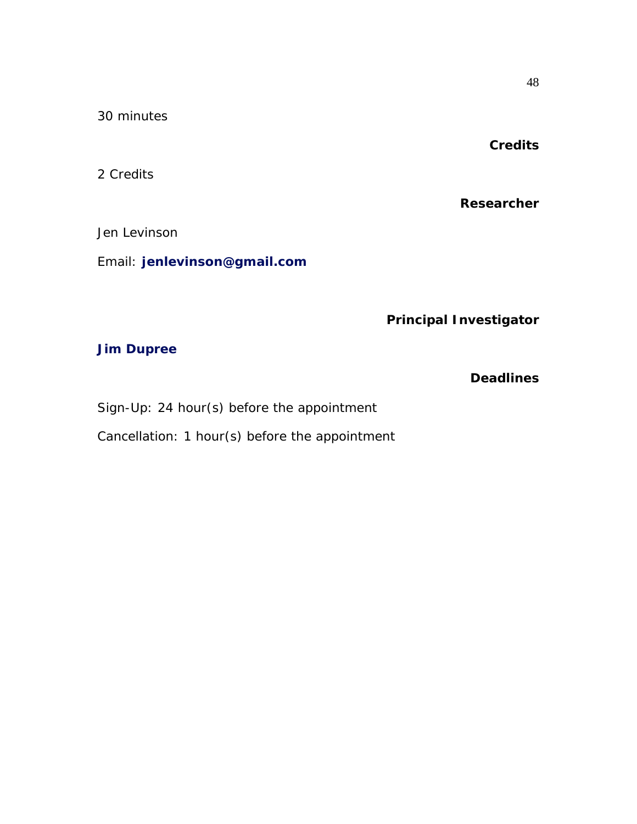30 minutes

## **Credits**

2 Credits

**Researcher**

Jen Levinson

Email: **jenlevinson@gmail.com**

## **Principal Investigator**

## **Jim Dupree**

## **Deadlines**

Sign-Up: 24 hour(s) before the appointment

Cancellation: 1 hour(s) before the appointment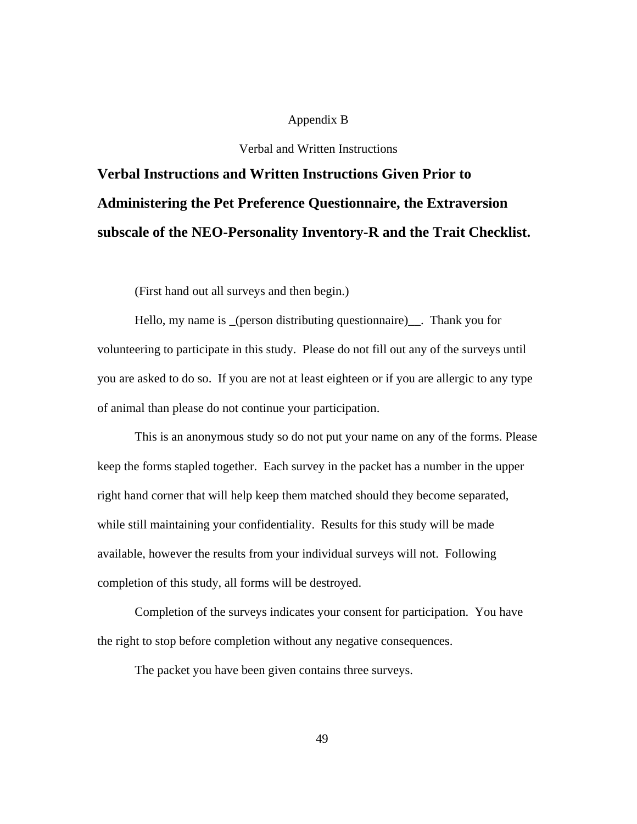### Appendix B

Verbal and Written Instructions

# **Verbal Instructions and Written Instructions Given Prior to Administering the Pet Preference Questionnaire, the Extraversion subscale of the NEO-Personality Inventory-R and the Trait Checklist.**

(First hand out all surveys and then begin.)

Hello, my name is \_(person distributing questionnaire)\_\_. Thank you for volunteering to participate in this study. Please do not fill out any of the surveys until you are asked to do so. If you are not at least eighteen or if you are allergic to any type of animal than please do not continue your participation.

This is an anonymous study so do not put your name on any of the forms. Please keep the forms stapled together. Each survey in the packet has a number in the upper right hand corner that will help keep them matched should they become separated, while still maintaining your confidentiality. Results for this study will be made available, however the results from your individual surveys will not. Following completion of this study, all forms will be destroyed.

Completion of the surveys indicates your consent for participation. You have the right to stop before completion without any negative consequences.

The packet you have been given contains three surveys.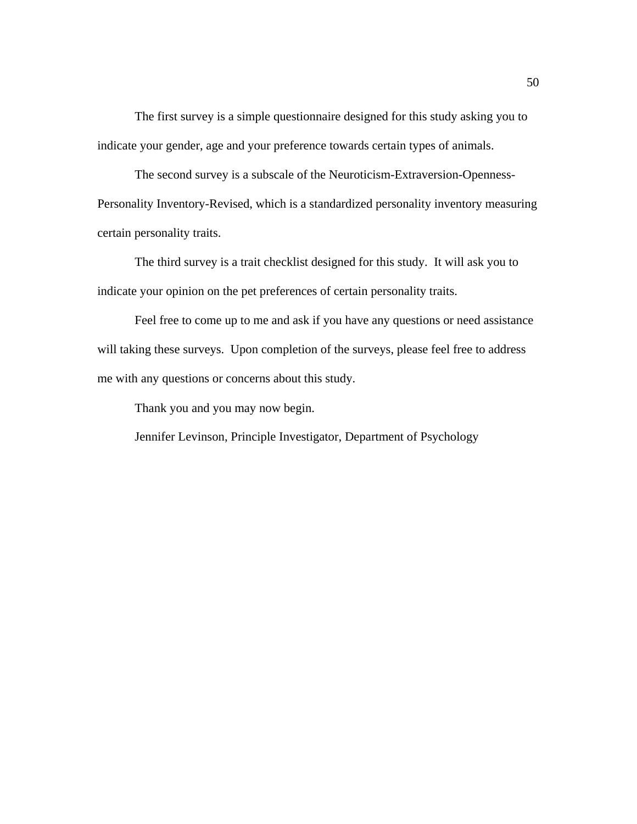The first survey is a simple questionnaire designed for this study asking you to indicate your gender, age and your preference towards certain types of animals.

The second survey is a subscale of the Neuroticism-Extraversion-Openness-Personality Inventory-Revised, which is a standardized personality inventory measuring certain personality traits.

The third survey is a trait checklist designed for this study. It will ask you to indicate your opinion on the pet preferences of certain personality traits.

Feel free to come up to me and ask if you have any questions or need assistance will taking these surveys. Upon completion of the surveys, please feel free to address me with any questions or concerns about this study.

Thank you and you may now begin.

Jennifer Levinson, Principle Investigator, Department of Psychology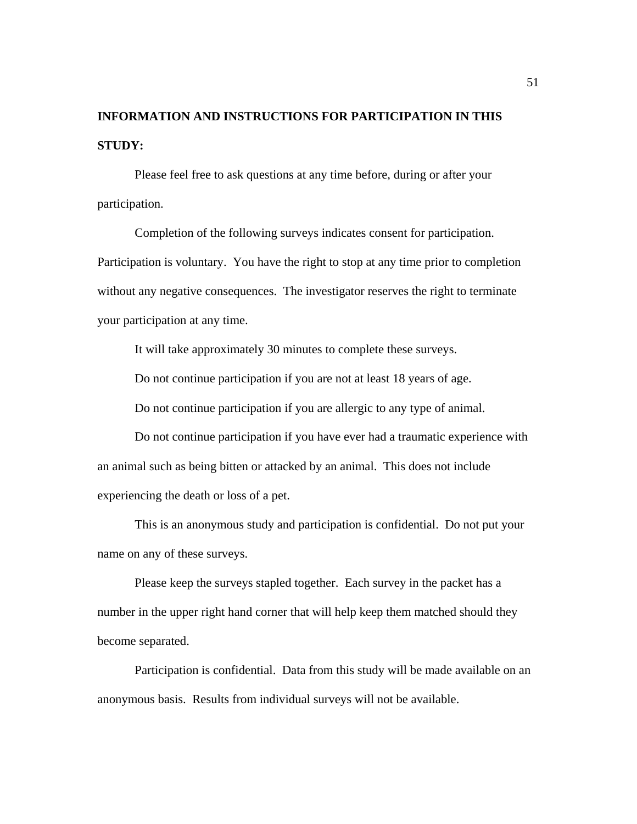# **INFORMATION AND INSTRUCTIONS FOR PARTICIPATION IN THIS STUDY:**

Please feel free to ask questions at any time before, during or after your participation.

Completion of the following surveys indicates consent for participation. Participation is voluntary. You have the right to stop at any time prior to completion without any negative consequences. The investigator reserves the right to terminate your participation at any time.

It will take approximately 30 minutes to complete these surveys.

Do not continue participation if you are not at least 18 years of age.

Do not continue participation if you are allergic to any type of animal.

Do not continue participation if you have ever had a traumatic experience with an animal such as being bitten or attacked by an animal. This does not include experiencing the death or loss of a pet.

This is an anonymous study and participation is confidential. Do not put your name on any of these surveys.

Please keep the surveys stapled together. Each survey in the packet has a number in the upper right hand corner that will help keep them matched should they become separated.

Participation is confidential. Data from this study will be made available on an anonymous basis. Results from individual surveys will not be available.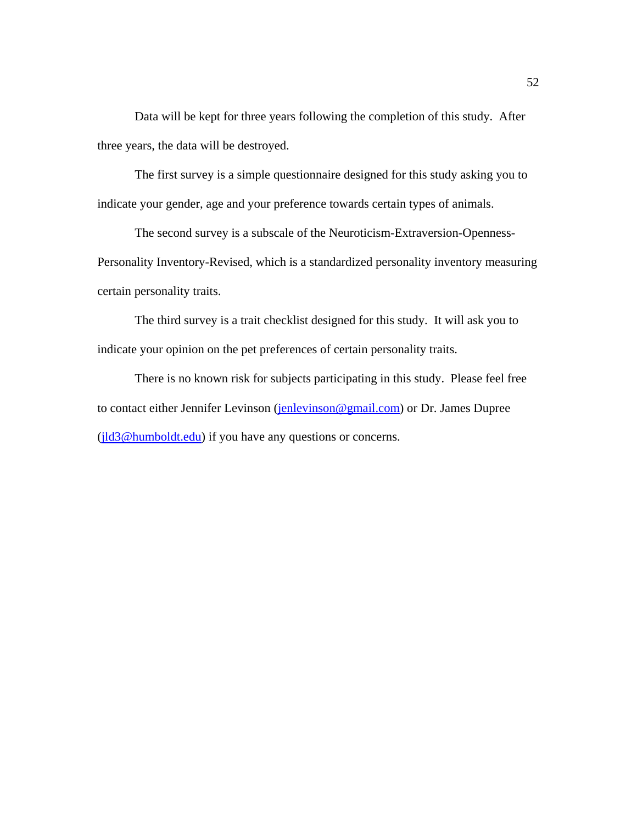Data will be kept for three years following the completion of this study. After three years, the data will be destroyed.

The first survey is a simple questionnaire designed for this study asking you to indicate your gender, age and your preference towards certain types of animals.

The second survey is a subscale of the Neuroticism-Extraversion-Openness-Personality Inventory-Revised, which is a standardized personality inventory measuring certain personality traits.

The third survey is a trait checklist designed for this study. It will ask you to indicate your opinion on the pet preferences of certain personality traits.

There is no known risk for subjects participating in this study. Please feel free to contact either Jennifer Levinson (jenlevinson@gmail.com) or Dr. James Dupree (jld3@humboldt.edu) if you have any questions or concerns.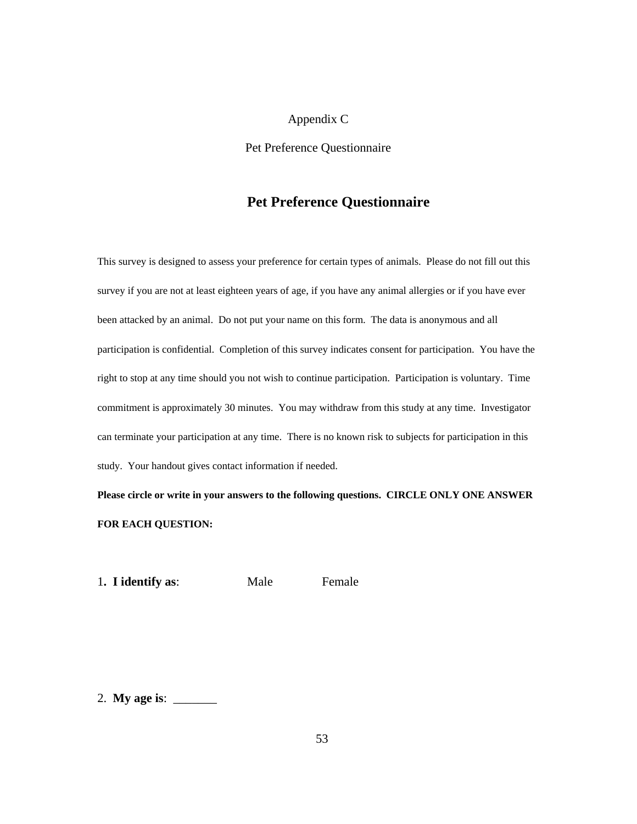#### Appendix C

Pet Preference Questionnaire

## **Pet Preference Questionnaire**

This survey is designed to assess your preference for certain types of animals. Please do not fill out this survey if you are not at least eighteen years of age, if you have any animal allergies or if you have ever been attacked by an animal. Do not put your name on this form. The data is anonymous and all participation is confidential. Completion of this survey indicates consent for participation. You have the right to stop at any time should you not wish to continue participation. Participation is voluntary. Time commitment is approximately 30 minutes. You may withdraw from this study at any time. Investigator can terminate your participation at any time. There is no known risk to subjects for participation in this study. Your handout gives contact information if needed.

**Please circle or write in your answers to the following questions. CIRCLE ONLY ONE ANSWER FOR EACH QUESTION:** 

1. **I identify as:** Male Female

2. **My age is**: \_\_\_\_\_\_\_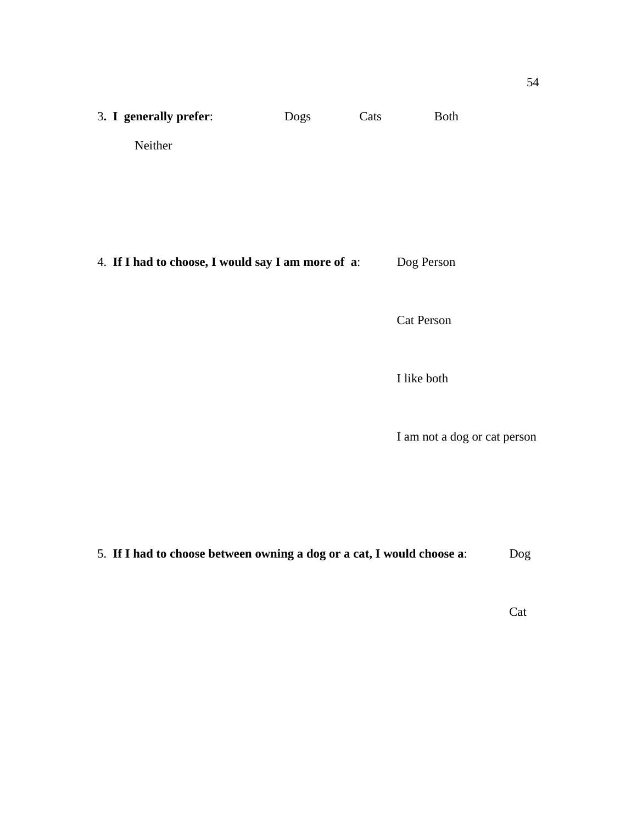| 3. I generally prefer:                             | Dogs | Cats | <b>Both</b> |
|----------------------------------------------------|------|------|-------------|
| Neither                                            |      |      |             |
|                                                    |      |      |             |
|                                                    |      |      |             |
| 4. If I had to choose, I would say I am more of a: |      |      | Dog Person  |
|                                                    |      |      |             |

Cat Person

I like both

I am not a dog or cat person

5. **If I had to choose between owning a dog or a cat, I would choose a**: Dog

**Cat**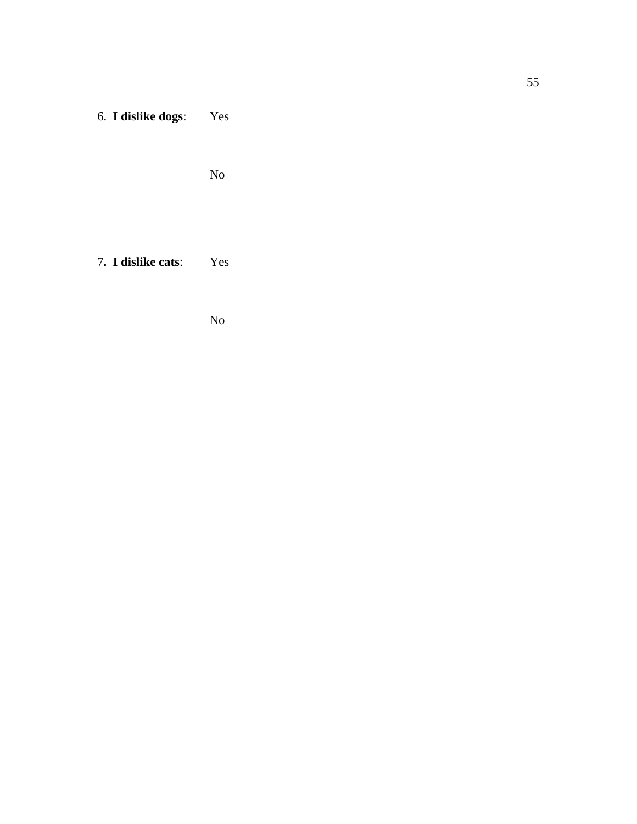6. **I dislike dogs**: Yes

No

7**. I dislike cats**: Yes

No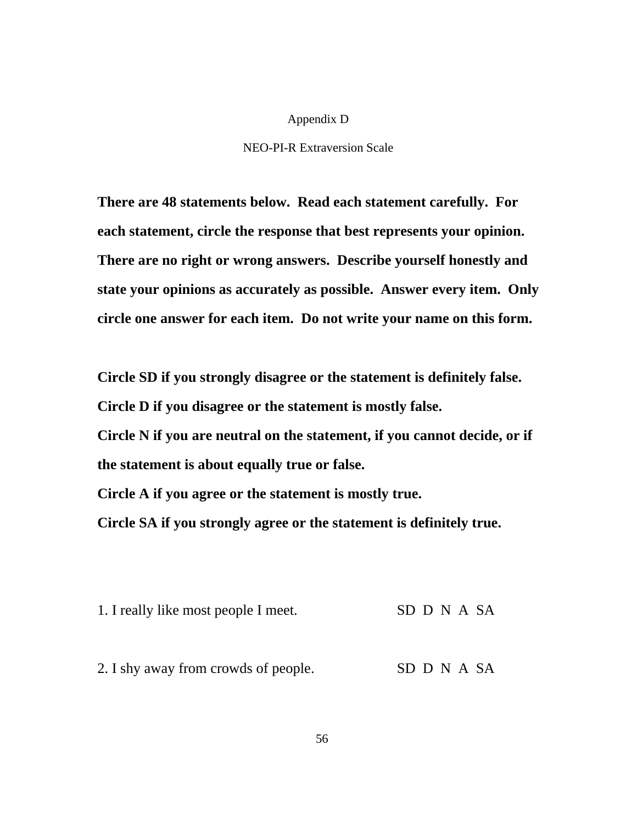### Appendix D

### NEO-PI-R Extraversion Scale

**There are 48 statements below. Read each statement carefully. For each statement, circle the response that best represents your opinion. There are no right or wrong answers. Describe yourself honestly and state your opinions as accurately as possible. Answer every item. Only circle one answer for each item. Do not write your name on this form.** 

**Circle SD if you strongly disagree or the statement is definitely false. Circle D if you disagree or the statement is mostly false. Circle N if you are neutral on the statement, if you cannot decide, or if the statement is about equally true or false.** 

**Circle A if you agree or the statement is mostly true.** 

**Circle SA if you strongly agree or the statement is definitely true.** 

| 1. I really like most people I meet. | SD D N A SA |
|--------------------------------------|-------------|
|                                      |             |
| 2. I shy away from crowds of people. | SD D N A SA |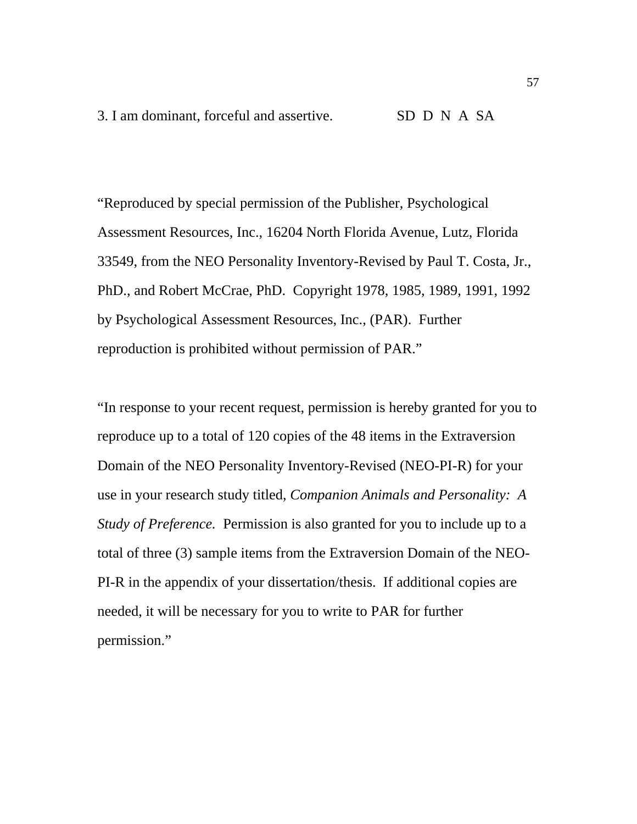"Reproduced by special permission of the Publisher, Psychological Assessment Resources, Inc., 16204 North Florida Avenue, Lutz, Florida 33549, from the NEO Personality Inventory-Revised by Paul T. Costa, Jr., PhD., and Robert McCrae, PhD. Copyright 1978, 1985, 1989, 1991, 1992 by Psychological Assessment Resources, Inc., (PAR). Further reproduction is prohibited without permission of PAR."

"In response to your recent request, permission is hereby granted for you to reproduce up to a total of 120 copies of the 48 items in the Extraversion Domain of the NEO Personality Inventory-Revised (NEO-PI-R) for your use in your research study titled, *Companion Animals and Personality: A Study of Preference.* Permission is also granted for you to include up to a total of three (3) sample items from the Extraversion Domain of the NEO-PI-R in the appendix of your dissertation/thesis. If additional copies are needed, it will be necessary for you to write to PAR for further permission."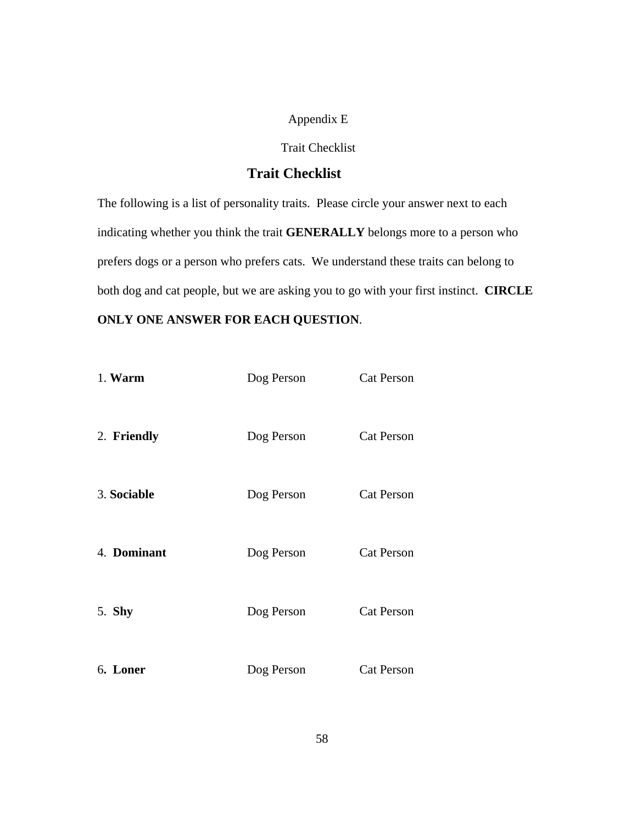### Appendix E

### Trait Checklist

## **Trait Checklist**

The following is a list of personality traits. Please circle your answer next to each indicating whether you think the trait **GENERALLY** belongs more to a person who prefers dogs or a person who prefers cats. We understand these traits can belong to both dog and cat people, but we are asking you to go with your first instinct. **CIRCLE** 

### **ONLY ONE ANSWER FOR EACH QUESTION**.

| 1. Warm     | Dog Person | <b>Cat Person</b> |
|-------------|------------|-------------------|
| 2. Friendly | Dog Person | <b>Cat Person</b> |
| 3. Sociable | Dog Person | <b>Cat Person</b> |
| 4. Dominant | Dog Person | <b>Cat Person</b> |
| 5. Shy      | Dog Person | <b>Cat Person</b> |
| 6. Loner    | Dog Person | <b>Cat Person</b> |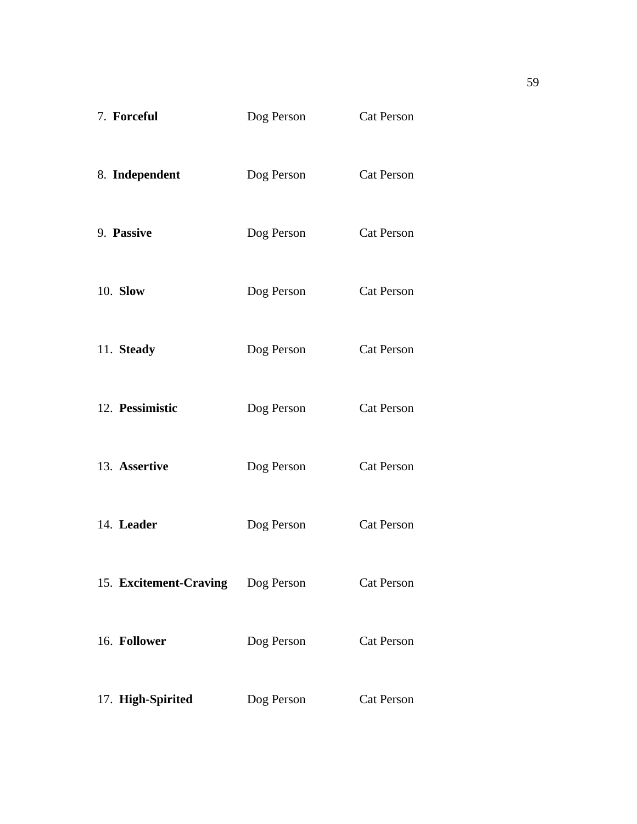| 7. Forceful            | Dog Person | <b>Cat Person</b> |
|------------------------|------------|-------------------|
| 8. Independent         | Dog Person | <b>Cat Person</b> |
| 9. Passive             | Dog Person | <b>Cat Person</b> |
| 10. Slow               | Dog Person | <b>Cat Person</b> |
| 11. Steady             | Dog Person | <b>Cat Person</b> |
| 12. Pessimistic        | Dog Person | <b>Cat Person</b> |
| 13. Assertive          | Dog Person | <b>Cat Person</b> |
| 14. Leader             | Dog Person | <b>Cat Person</b> |
| 15. Excitement-Craving | Dog Person | <b>Cat Person</b> |
| 16. Follower           | Dog Person | <b>Cat Person</b> |
| 17. High-Spirited      | Dog Person | <b>Cat Person</b> |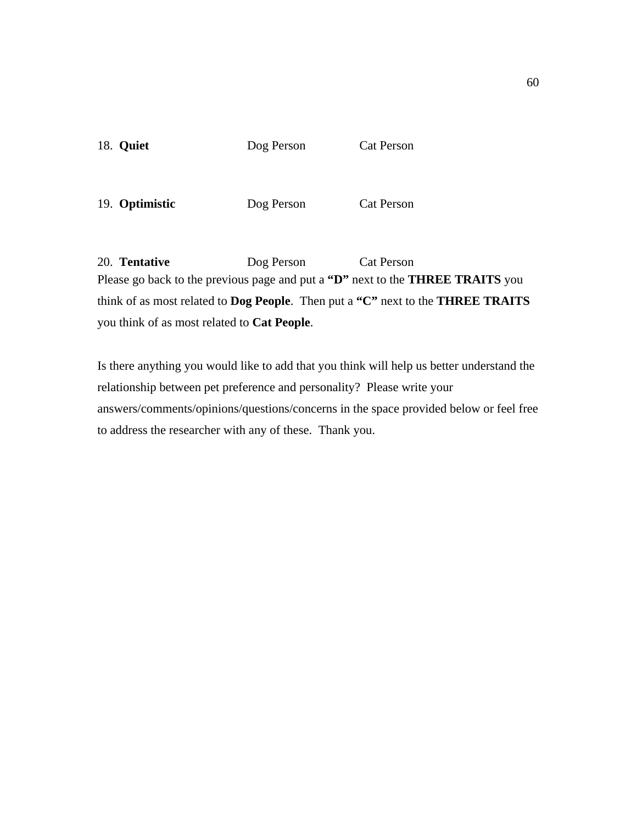| <b>18. Quiet</b> | Dog Person | Cat Person |
|------------------|------------|------------|
|                  |            |            |
|                  |            |            |

19. **Optimistic** Dog Person Cat Person

20. **Tentative** Dog Person Cat Person Please go back to the previous page and put a **"D"** next to the **THREE TRAITS** you think of as most related to **Dog People**. Then put a **"C"** next to the **THREE TRAITS** you think of as most related to **Cat People**.

Is there anything you would like to add that you think will help us better understand the relationship between pet preference and personality? Please write your answers/comments/opinions/questions/concerns in the space provided below or feel free to address the researcher with any of these. Thank you.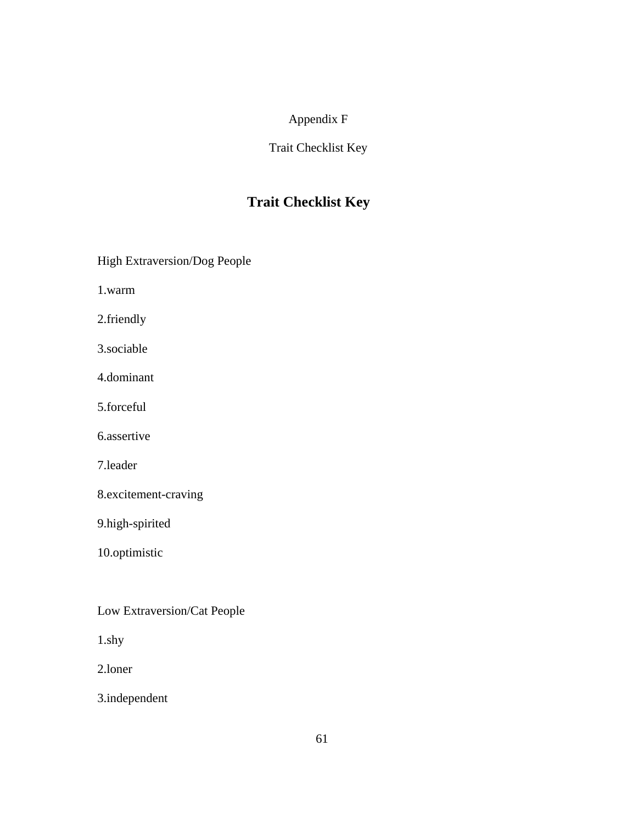## Appendix F

### Trait Checklist Key

# **Trait Checklist Key**

High Extraversion/Dog People

1.warm

2.friendly

3.sociable

4.dominant

5.forceful

6.assertive

7.leader

8.excitement-craving

9.high-spirited

10.optimistic

Low Extraversion/Cat People

1.shy

2.loner

3.independent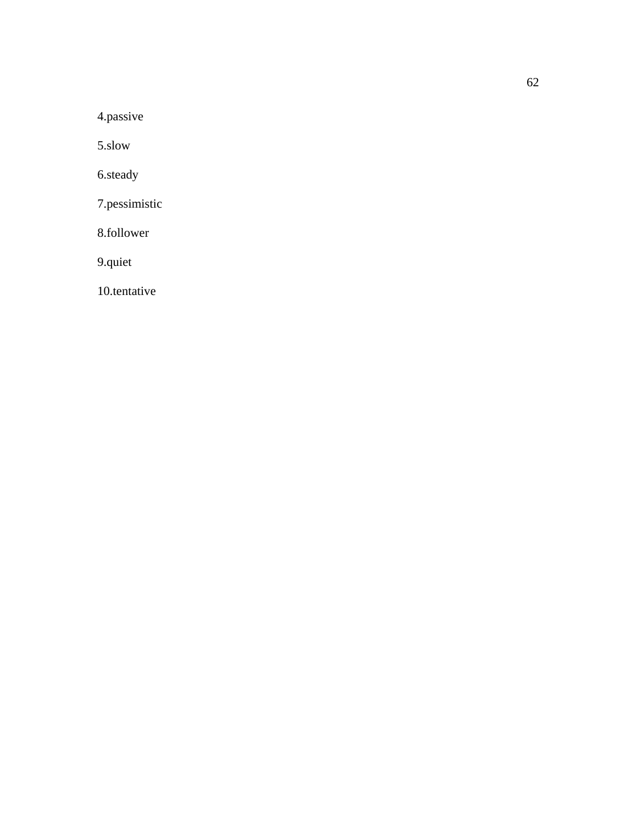4.passive

5.slow

6.steady

7.pessimistic

8.follower

9.quiet

10.tentative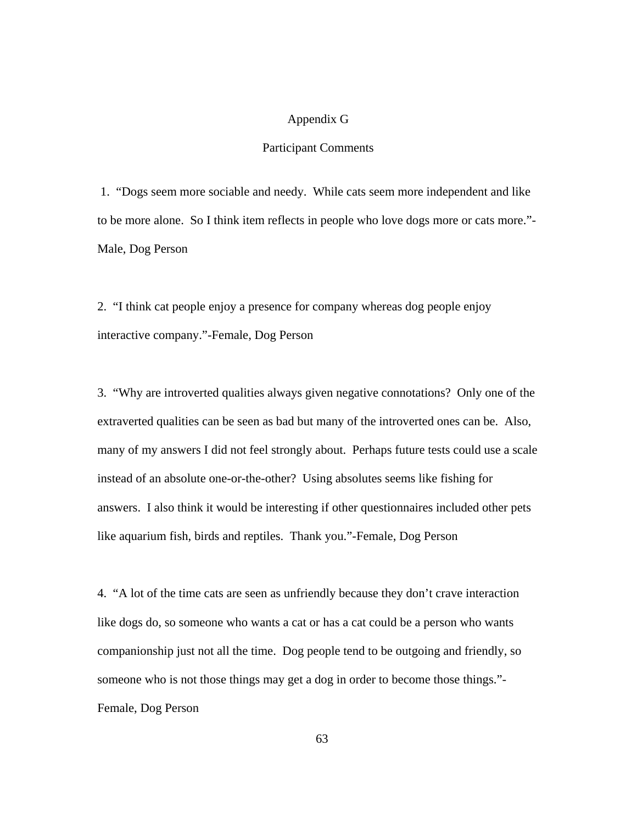### Appendix G

### Participant Comments

 1. "Dogs seem more sociable and needy. While cats seem more independent and like to be more alone. So I think item reflects in people who love dogs more or cats more."-Male, Dog Person

2. "I think cat people enjoy a presence for company whereas dog people enjoy interactive company."-Female, Dog Person

3. "Why are introverted qualities always given negative connotations? Only one of the extraverted qualities can be seen as bad but many of the introverted ones can be. Also, many of my answers I did not feel strongly about. Perhaps future tests could use a scale instead of an absolute one-or-the-other? Using absolutes seems like fishing for answers. I also think it would be interesting if other questionnaires included other pets like aquarium fish, birds and reptiles. Thank you."-Female, Dog Person

4. "A lot of the time cats are seen as unfriendly because they don't crave interaction like dogs do, so someone who wants a cat or has a cat could be a person who wants companionship just not all the time. Dog people tend to be outgoing and friendly, so someone who is not those things may get a dog in order to become those things."- Female, Dog Person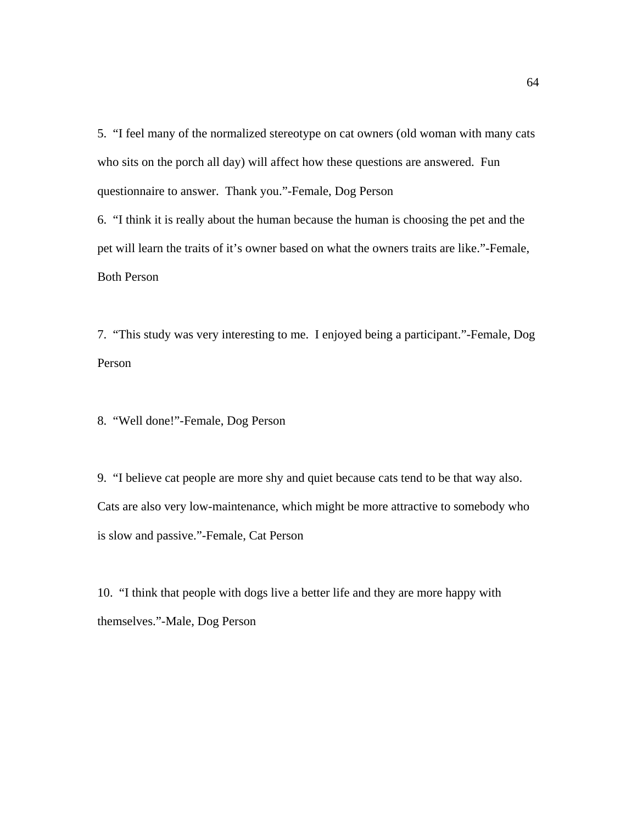5. "I feel many of the normalized stereotype on cat owners (old woman with many cats who sits on the porch all day) will affect how these questions are answered. Fun questionnaire to answer. Thank you."-Female, Dog Person 6. "I think it is really about the human because the human is choosing the pet and the

pet will learn the traits of it's owner based on what the owners traits are like."-Female, Both Person

7. "This study was very interesting to me. I enjoyed being a participant."-Female, Dog Person

8. "Well done!"-Female, Dog Person

9. "I believe cat people are more shy and quiet because cats tend to be that way also. Cats are also very low-maintenance, which might be more attractive to somebody who is slow and passive."-Female, Cat Person

10. "I think that people with dogs live a better life and they are more happy with themselves."-Male, Dog Person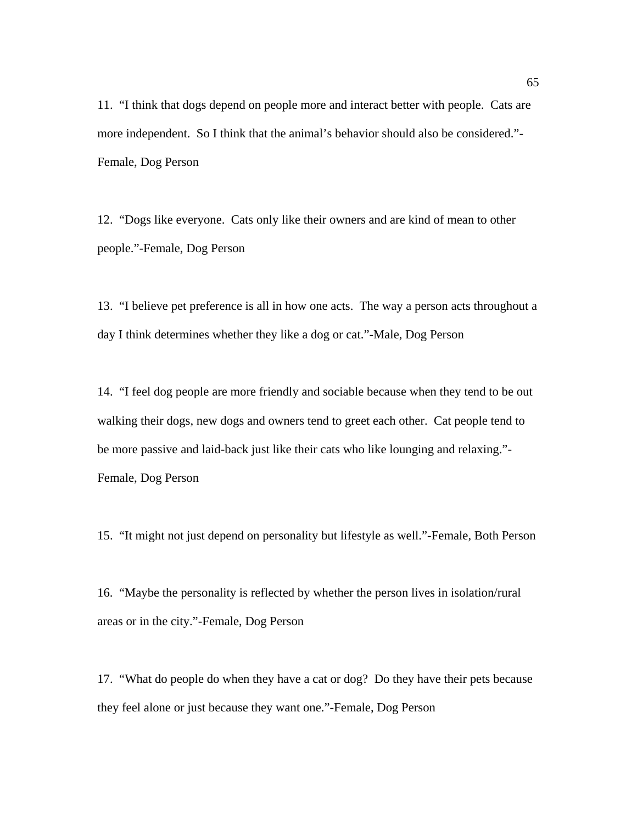11. "I think that dogs depend on people more and interact better with people. Cats are more independent. So I think that the animal's behavior should also be considered."- Female, Dog Person

12. "Dogs like everyone. Cats only like their owners and are kind of mean to other people."-Female, Dog Person

13. "I believe pet preference is all in how one acts. The way a person acts throughout a day I think determines whether they like a dog or cat."-Male, Dog Person

14. "I feel dog people are more friendly and sociable because when they tend to be out walking their dogs, new dogs and owners tend to greet each other. Cat people tend to be more passive and laid-back just like their cats who like lounging and relaxing."- Female, Dog Person

15. "It might not just depend on personality but lifestyle as well."-Female, Both Person

16. "Maybe the personality is reflected by whether the person lives in isolation/rural areas or in the city."-Female, Dog Person

17. "What do people do when they have a cat or dog? Do they have their pets because they feel alone or just because they want one."-Female, Dog Person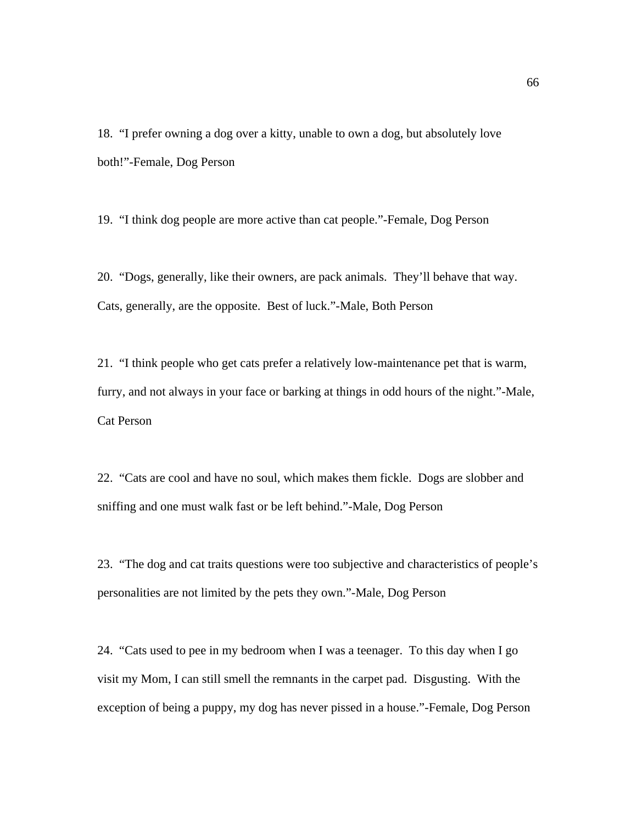18. "I prefer owning a dog over a kitty, unable to own a dog, but absolutely love both!"-Female, Dog Person

19. "I think dog people are more active than cat people."-Female, Dog Person

20. "Dogs, generally, like their owners, are pack animals. They'll behave that way. Cats, generally, are the opposite. Best of luck."-Male, Both Person

21. "I think people who get cats prefer a relatively low-maintenance pet that is warm, furry, and not always in your face or barking at things in odd hours of the night."-Male, Cat Person

22. "Cats are cool and have no soul, which makes them fickle. Dogs are slobber and sniffing and one must walk fast or be left behind."-Male, Dog Person

23. "The dog and cat traits questions were too subjective and characteristics of people's personalities are not limited by the pets they own."-Male, Dog Person

24. "Cats used to pee in my bedroom when I was a teenager. To this day when I go visit my Mom, I can still smell the remnants in the carpet pad. Disgusting. With the exception of being a puppy, my dog has never pissed in a house."-Female, Dog Person